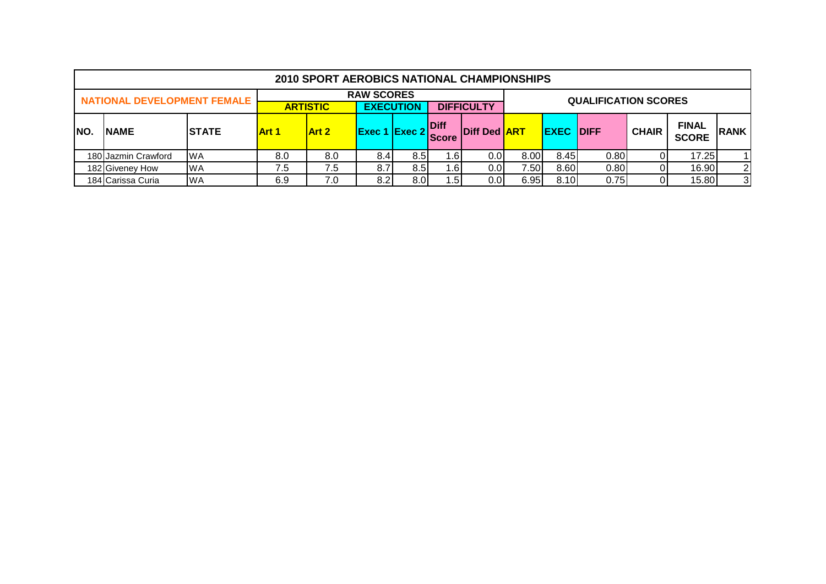|      |                                    |               |       | 2010 SPORT AEROBICS NATIONAL CHAMPIONSHIPS |                                       |     |                      |                     |      |                  |                             |              |                              |              |
|------|------------------------------------|---------------|-------|--------------------------------------------|---------------------------------------|-----|----------------------|---------------------|------|------------------|-----------------------------|--------------|------------------------------|--------------|
|      | <b>NATIONAL DEVELOPMENT FEMALE</b> |               |       | <b>ARTISTIC</b>                            | <b>RAW SCORES</b><br><b>EXECUTION</b> |     |                      | <b>DIFFICULTY</b>   |      |                  | <b>QUALIFICATION SCORES</b> |              |                              |              |
| INO. | <b>NAME</b>                        | <b>ISTATE</b> | Art 1 | Art 2                                      | $ $ Exec 1 $ $ Exec 2 $ $             |     | Diff<br><b>Score</b> | Diff Ded <b>ART</b> |      | <b>EXEC DIFF</b> |                             | <b>CHAIR</b> | <b>FINAL</b><br><b>SCORE</b> | <b>IRANK</b> |
|      | 180 Jazmin Crawford                | <b>WA</b>     | 8.0   | 8.0                                        | 8.4                                   | 8.5 | . 61                 | 0.01                | 8.00 | 8.45             | 0.80                        |              | 17.25                        |              |
|      | 182 Giveney How                    | <b>WA</b>     | '.5   | 7.5                                        | 8.7                                   | 8.5 | ⊦.6I                 | 0.01                | 7.50 | 8.60             | 0.80                        |              | 16.90                        | 2            |
|      | 184 Carissa Curia                  | <b>WA</b>     | 6.9   | 7.0                                        | 8.2                                   | 8.0 | . 51                 | 0.01                | 6.95 | 8.10             | 0.75                        |              | 15.80                        | 3            |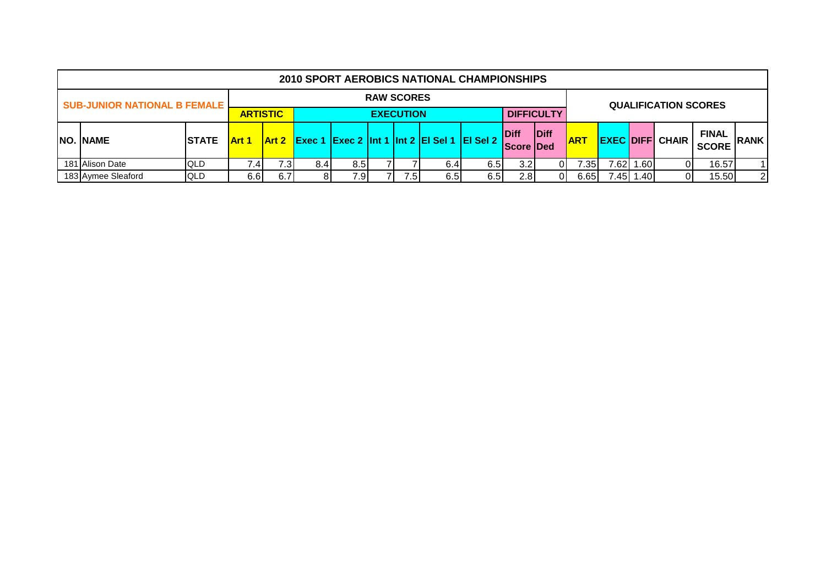|                                     |              |                 |      |     |      |                   |      | <b>2010 SPORT AEROBICS NATIONAL CHAMPIONSHIPS</b>                       |                    |                   |                               |      |      |                             |                              |                |
|-------------------------------------|--------------|-----------------|------|-----|------|-------------------|------|-------------------------------------------------------------------------|--------------------|-------------------|-------------------------------|------|------|-----------------------------|------------------------------|----------------|
| <b>SUB-JUNIOR NATIONAL B FEMALE</b> |              |                 |      |     |      | <b>RAW SCORES</b> |      |                                                                         |                    |                   |                               |      |      | <b>QUALIFICATION SCORES</b> |                              |                |
|                                     |              | <b>ARTISTIC</b> |      |     |      | <b>EXECUTION</b>  |      |                                                                         |                    | <b>DIFFICULTY</b> |                               |      |      |                             |                              |                |
| <b>NO. NAME</b>                     | <b>STATE</b> | <b>Art 1</b>    |      |     |      |                   |      | <u> Art 2   Exec 1   Exec 2   Int 1   Int 2   EI Sel 1   EI Sel 2  </u> | Diff<br>Score IDed | <b>Diff</b>       | <b>ART</b>                    |      |      | <b>EXEC DIFF CHAIR</b>      | <b>FINAL</b><br><b>SCORE</b> | <b>RANK</b>    |
| 181 Alison Date                     | QLD          | $^{\prime}$ .4  | 7.3I | 8.4 | 8.5I |                   | 6.4  | 6.5I                                                                    | 3.2I               |                   | 7.351                         | 7.62 | 1.60 |                             | 16.57                        | $\overline{1}$ |
| 183 Aymee Sleaford                  | QLD          | 6.6             | 6.7I |     | 7.9  | 7.5               | 6.51 | 6.5                                                                     | 2.8                |                   | 7.45<br>15.50<br>1.40<br>6.65 |      |      |                             |                              |                |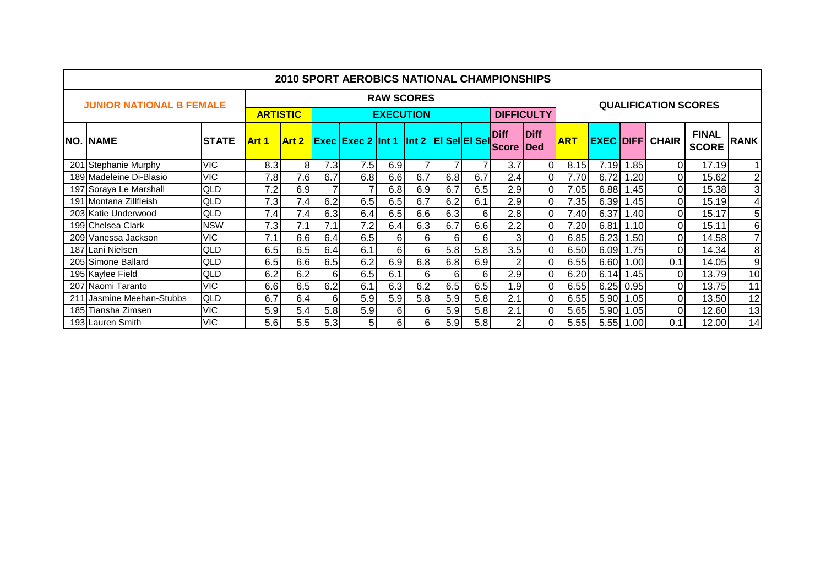|                                 |               |                 |                |     | <b>2010 SPORT AEROBICS NATIONAL CHAMPIONSHIPS</b> |     |                   |     |     |                             |                     |            |                   |      |                             |                              |                |
|---------------------------------|---------------|-----------------|----------------|-----|---------------------------------------------------|-----|-------------------|-----|-----|-----------------------------|---------------------|------------|-------------------|------|-----------------------------|------------------------------|----------------|
| <b>JUNIOR NATIONAL B FEMALE</b> |               |                 |                |     |                                                   |     | <b>RAW SCORES</b> |     |     |                             |                     |            |                   |      | <b>QUALIFICATION SCORES</b> |                              |                |
|                                 |               | <b>ARTISTIC</b> |                |     |                                                   |     | <b>EXECUTION</b>  |     |     | <b>DIFFICULTY</b>           |                     |            |                   |      |                             |                              |                |
| <b>NO. NAME</b>                 | <b>ISTATE</b> | <b>Art 1</b>    | Art 2          |     | <b>Exec Exec 2 Int 1 Int 2 EI Sel EI Sel</b>      |     |                   |     |     | <b>Diff</b><br><b>Score</b> | Diff<br><b>IDed</b> | <b>ART</b> | <b>EXEC DIFFI</b> |      | <b>CHAIR</b>                | <b>FINAL</b><br><b>SCORE</b> | <b>RANK</b>    |
| 201 Stephanie Murphy            | <b>VIC</b>    | 8.3             | 8 <sup>1</sup> | 7.3 | 7.5                                               | 6.9 |                   |     |     | 3.7                         | $\Omega$            | 8.15       | 7.19              | 1.85 | $\Omega$                    | 17.19                        | 11             |
| 189 Madeleine Di-Blasio         | <b>VIC</b>    | 7.8             | 7.6            | 6.7 | 6.8                                               | 6.6 | 6.7               | 6.8 | 6.7 | 2.4                         | $\overline{0}$      | 7.70       | 6.72              | 1.20 | 0                           | 15.62                        | $\mathbf{2}$   |
| 197 Soraya Le Marshall          | QLD           | 7.2             | 6.9            |     |                                                   | 6.8 | 6.9               | 6.7 | 6.5 | 2.9                         | $\overline{0}$      | 7.05       | 6.88              | 1.45 | 0                           | 15.38                        | 3              |
| 191 Montana Zillfleish          | QLD           | 7.3             | 7.4            | 6.2 | 6.5                                               | 6.5 | 6.7               | 6.2 | 6.1 | 2.9                         | $\Omega$            | 7.35       | 6.39              | 1.45 | $\Omega$                    | 15.19                        | $\overline{4}$ |
| 203 Katie Underwood             | QLD           | 7.4             | 7.4            | 6.3 | 6.4                                               | 6.5 | 6.6               | 6.3 | 6   | 2.8                         | $\overline{0}$      | 7.40       | 6.37              | 1.40 | $\Omega$                    | 15.17                        | 5 <sub>l</sub> |
| 199 Chelsea Clark               | <b>NSW</b>    | 7.3             | 7.1            | 7.1 | 7.2                                               | 6.4 | 6.3               | 6.7 | 6.6 | 2.2                         | $\overline{0}$      | 7.20       | 6.81              | 1.10 | $\Omega$                    | 15.11                        | 6              |
| 209 Vanessa Jackson             | <b>VIC</b>    | 7.1             | 6.6            | 6.4 | 6.5                                               | 6   | 61                | 6   | 6   |                             | $\overline{0}$      | 6.85       | 6.23              | 1.50 | $\Omega$                    | 14.58                        | 7              |
| 187 Lani Nielsen                | QLD           | 6.5             | 6.5            | 6.4 | 6.1                                               | 6   | 6                 | 5.8 | 5.8 | 3.5                         | $\overline{0}$      | 6.50       | 6.09              | 1.75 | $\Omega$                    | 14.34                        | 8 <sup>1</sup> |
| 205 Simone Ballard              | QLD           | 6.5             | 6.6            | 6.5 | 6.2                                               | 6.9 | 6.8               | 6.8 | 6.9 | $\overline{2}$              | $\Omega$            | 6.55       | 6.60              | 1.00 | 0.1                         | 14.05                        | 9              |
| 195 Kaylee Field                | QLD           | 6.2             | 6.2            | 6   | 6.5                                               | 6.1 | 6                 | 6   | 6   | 2.9                         | $\overline{0}$      | 6.20       | 6.14              | .45  | $\mathbf{0}$                | 13.79                        | 10             |
| 207 Naomi Taranto               | <b>VIC</b>    | 6.6             | 6.5            | 6.2 | 6.1                                               | 6.3 | 6.2               | 6.5 | 6.5 | 1.9                         | $\overline{0}$      | 6.55       | 6.25              | 0.95 | ΟI                          | 13.75                        | 11             |
| 211 Jasmine Meehan-Stubbs       | QLD           | 6.7             | 6.4            | 6   | 5.9                                               | 5.9 | 5.8               | 5.9 | 5.8 | 2.1                         | $\overline{0}$      | 6.55       | 5.90              | 1.05 | $\Omega$                    | 13.50                        | 12             |
| 185 Tiansha Zimsen              | <b>VIC</b>    | 5.9             | 5.4            | 5.8 | 5.9                                               | 6   | 61                | 5.9 | 5.8 | 2.1                         | $\Omega$            | 5.65       | 5.90              | 1.05 | 0                           | 12.60                        | 13             |
| 193 Lauren Smith                | 5.6           | 5.5             | 5.3            | 5   | 6                                                 | 61  | 5.9               | 5.8 | 2   | $\Omega$                    | 5.55                | 5.55       | 1.00              | 0.1  | 12.00                       | 14                           |                |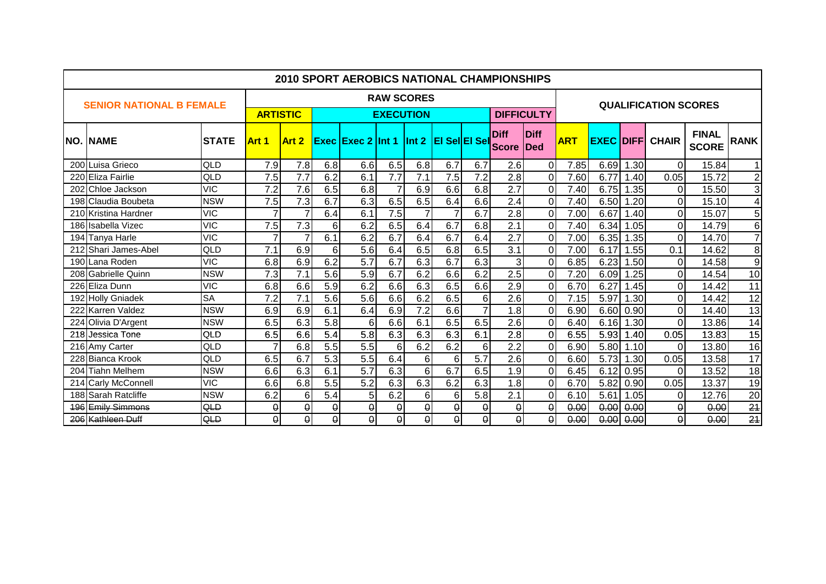|     |                                 |              |                 |                         |          | <b>2010 SPORT AEROBICS NATIONAL CHAMPIONSHIPS</b> |                  |                   |          |                  |                             |                            |            |      |      |                             |                              |                 |
|-----|---------------------------------|--------------|-----------------|-------------------------|----------|---------------------------------------------------|------------------|-------------------|----------|------------------|-----------------------------|----------------------------|------------|------|------|-----------------------------|------------------------------|-----------------|
|     | <b>SENIOR NATIONAL B FEMALE</b> |              |                 |                         |          |                                                   |                  | <b>RAW SCORES</b> |          |                  |                             |                            |            |      |      | <b>QUALIFICATION SCORES</b> |                              |                 |
|     |                                 |              | <b>ARTISTIC</b> |                         |          |                                                   | <b>EXECUTION</b> |                   |          |                  |                             | <b>DIFFICULTY</b>          |            |      |      |                             |                              |                 |
|     | <b>NO. NAME</b>                 | <b>STATE</b> | Art 1           | Art 2                   |          | <b>Exec Exec 2 Int 1 Int 2 EI Sel EI Sel</b>      |                  |                   |          |                  | <b>Diff</b><br><b>Score</b> | <b>Diff</b><br><b>IDed</b> | <b>ART</b> |      |      | <b>EXEC DIFF CHAIR</b>      | <b>FINAL</b><br><b>SCORE</b> | <b>RANK</b>     |
|     | 200 Luisa Grieco                | QLD          | 7.9             | 7.8                     | 6.8      | 6.6                                               | 6.5              | 6.8               | 6.7      | 6.7              | 2.6                         | $\overline{0}$             | 7.85       | 6.69 | 1.30 | $\Omega$                    | 15.84                        | 1 <sup>1</sup>  |
|     | 220 Eliza Fairlie               | QLD          | 7.5             | $\overline{7.7}$        | 6.2      | 6.1                                               | 7.7              | 7.1               | 7.5      | 7.2              | 2.8                         | $\overline{0}$             | 7.60       | 6.77 | 1.40 | 0.05                        | 15.72                        | $\overline{2}$  |
|     | 202 Chloe Jackson               | <b>VIC</b>   | 7.2             | 7.6                     | 6.5      | 6.8                                               | 7                | 6.9               | 6.6      | 6.8              | 2.7                         | $\overline{0}$             | 7.40       | 6.75 | 1.35 | 0                           | 15.50                        | $\overline{3}$  |
|     | 198 Claudia Boubeta             | <b>NSW</b>   | 7.5             | 7.3                     | 6.7      | 6.3                                               | 6.5              | 6.5               | 6.4      | 6.6              | 2.4                         | $\Omega$                   | 7.40       | 6.50 | 1.20 | $\Omega$                    | 15.10                        | $\overline{4}$  |
|     | 210 Kristina Hardner            | <b>VIC</b>   |                 |                         | 6.4      | 6.1                                               | 7.5              |                   |          | 6.7              | $\overline{2.8}$            | $\overline{0}$             | 7.00       | 6.67 | .40  | $\Omega$                    | 15.07                        | $\overline{5}$  |
|     | 186 Isabella Vizec              | <b>VIC</b>   | 7.5             | 7.3                     | 6        | 6.2                                               | 6.5              | 6.4               | 6.7      | 6.8              | $\overline{2.1}$            | $\overline{0}$             | 7.40       | 6.34 | 1.05 | $\overline{0}$              | 14.79                        | $6\overline{6}$ |
|     | 194 Tanya Harle                 | <b>VIC</b>   |                 |                         | 6.1      | 6.2                                               | 6.7              | 6.4               | 6.7      | 6.4              | 2.7                         | $\overline{0}$             | 7.00       | 6.35 | 1.35 | $\Omega$                    | 14.70                        | $\overline{7}$  |
| 212 | Shari James-Abel                | QLD          | 7.1             | 6.9                     | 6        | 5.6                                               | 6.4              | 6.5               | 6.8      | 6.5              | $\overline{3.1}$            | $\overline{0}$             | 7.00       | 6.17 | 1.55 | 0.1                         | 14.62                        | $\infty$        |
|     | 190 Lana Roden                  | <b>VIC</b>   | 6.8             | 6.9                     | 6.2      | $\overline{5.7}$                                  | 6.7              | 6.3               | 6.7      | 6.3              | 3                           | $\overline{0}$             | 6.85       | 6.23 | 1.50 | $\Omega$                    | 14.58                        | $\overline{9}$  |
|     | 208 Gabrielle Quinn             | <b>NSW</b>   | 7.3             | 7.1                     | 5.6      | 5.9                                               | 6.7              | 6.2               | 6.6      | 6.2              | 2.5                         | $\overline{0}$             | 7.20       | 6.09 | 1.25 | 0                           | 14.54                        | $\overline{10}$ |
|     | 226 Eliza Dunn                  | <b>VIC</b>   | 6.8             | 6.6                     | 5.9      | 6.2                                               | 6.6              | 6.3               | 6.5      | 6.6              | 2.9                         | $\overline{0}$             | 6.70       | 6.27 | .45  | $\Omega$                    | 14.42                        | 11              |
|     | 192 Holly Gniadek               | <b>SA</b>    | 7.2             | 7.1                     | 5.6      | 5.6                                               | 6.6              | 6.2               | 6.5      | 6                | 2.6                         | $\overline{0}$             | 7.15       | 5.97 | 1.30 | $\Omega$                    | 14.42                        | 12              |
|     | 222 Karren Valdez               | <b>NSW</b>   | 6.9             | 6.9                     | 6.1      | 6.4                                               | 6.9              | $\overline{7.2}$  | 6.6      | $\overline{7}$   | 1.8                         | $\overline{0}$             | 6.90       | 6.60 | 0.90 | $\Omega$                    | 14.40                        | $\overline{13}$ |
|     | 224 Olivia D'Argent             | <b>NSW</b>   | 6.5             | 6.3                     | 5.8      | 6                                                 | 6.6              | 6.1               | 6.5      | 6.5              | 2.6                         | $\overline{0}$             | 6.40       | 6.16 | 1.30 | $\Omega$                    | 13.86                        | 14              |
| 218 | Jessica Tone                    | QLD          | 6.5             | 6.6                     | 5.4      | 5.8                                               | 6.3              | 6.3               | 6.3      | 6.1              | 2.8                         | $\overline{0}$             | 6.55       | 5.93 | 1.40 | 0.05                        | 13.83                        | $\overline{15}$ |
|     | 216 Amy Carter                  | QLD          |                 | 6.8                     | 5.5      | 5.5                                               | 6                | 6.2               | 6.2      | 6                | $\overline{2.2}$            | $\overline{0}$             | 6.90       | 5.80 | 1.10 | $\Omega$                    | 13.80                        | 16              |
|     | 228 Bianca Krook                | QLD          | 6.5             | 6.7                     | 5.3      | 5.5                                               | 6.4              | 6                 | 6        | $\overline{5.7}$ | $\overline{2.6}$            | $\overline{0}$             | 6.60       | 5.73 | 1.30 | 0.05                        | 13.58                        | 17              |
|     | 204 Tiahn Melhem                | <b>NSW</b>   | 6.6             | 6.3                     | 6.1      | 5.7                                               | 6.3              | 6                 | 6.7      | 6.5              | 1.9                         | $\overline{0}$             | 6.45       | 6.12 | 0.95 | $\Omega$                    | 13.52                        | $\overline{18}$ |
|     | 214 Carly McConnell             | <b>VIC</b>   | 6.6             | 6.8                     | 5.5      | $\overline{5.2}$                                  | 6.3              | 6.3               | 6.2      | 6.3              | 1.8                         | $\overline{0}$             | 6.70       | 5.82 | 0.90 | 0.05                        | 13.37                        | $\overline{19}$ |
| 188 | Sarah Ratcliffe                 | <b>NSW</b>   | 6.2             | $6\phantom{1}$          | 5.4      | 5                                                 | 6.2              | 6                 | 6        | 5.8              | 2.1                         | $\overline{0}$             | 6.10       | 5.61 | 1.05 | $\Omega$                    | 12.76                        | $\overline{20}$ |
|     | 196 Emily Simmons               | QLD          | $\theta$        | $\theta$                | $\theta$ | $\pmb{0}$                                         | $\pmb{\Theta}$   | 0                 | 0        | $\theta$         | $\theta$                    | $\theta$                   | 0.00       | 0.00 | 0.00 | 0                           | 0.00                         | $\overline{24}$ |
|     | 206 Kathleen Duff               | QLD          | $\overline{0}$  | $\overline{\mathbf{Q}}$ | $\theta$ | $\overline{0}$                                    | 0                | $\overline{0}$    | $\theta$ | $\theta$         | $\theta$                    | $\theta$                   | 0.00       | 0.00 | 0.00 | $\theta$                    | 0.00                         | $\overline{24}$ |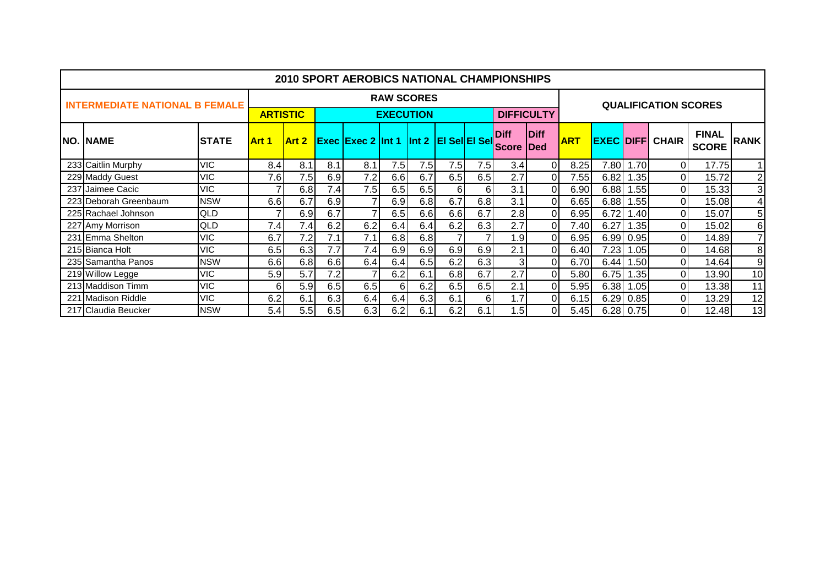|                                       |              |                 |       |     | <b>2010 SPORT AEROBICS NATIONAL CHAMPIONSHIPS</b> |                  |                   |          |     |                             |                            |            |      |                  |                             |                              |                |
|---------------------------------------|--------------|-----------------|-------|-----|---------------------------------------------------|------------------|-------------------|----------|-----|-----------------------------|----------------------------|------------|------|------------------|-----------------------------|------------------------------|----------------|
| <b>INTERMEDIATE NATIONAL B FEMALE</b> |              |                 |       |     |                                                   |                  | <b>RAW SCORES</b> |          |     |                             |                            |            |      |                  | <b>QUALIFICATION SCORES</b> |                              |                |
|                                       |              | <b>ARTISTIC</b> |       |     |                                                   | <b>EXECUTION</b> |                   |          |     |                             | <b>DIFFICULTY</b>          |            |      |                  |                             |                              |                |
| <b>NO. NAME</b>                       | <b>STATE</b> | Art 1           | Art 2 |     | <b>Exec Exec 2 Int 1 Int 2 EI SellEI Sell</b>     |                  |                   |          |     | <b>Diff</b><br><b>Score</b> | <b>Diff</b><br><b>IDed</b> | <b>ART</b> |      |                  | <b>EXEC DIFFI CHAIR</b>     | <b>FINAL</b><br><b>SCORE</b> | <b>RANK</b>    |
| 233 Caitlin Murphy                    | <b>VIC</b>   | 8.4             | 8.1   | 8.1 | 8.1                                               | 7.5              | 7.5               | 7.5      | 7.5 | 3.4                         | $\Omega$                   | 8.25       | 7.80 | .70 <sub>l</sub> | $\Omega$                    | 17.75                        | 1 <sup>1</sup> |
| 229 Maddy Guest                       | <b>VIC</b>   | 7.6             | 7.5   | 6.9 | 7.2                                               | 6.6              | 6.7               | 6.5      | 6.5 | 2.7                         | $\Omega$                   | 7.55       | 6.82 | $\sim$ 35 $\mid$ | $\Omega$                    | 15.72                        | $\overline{2}$ |
| 237 Jaimee Cacic                      | <b>VIC</b>   |                 | 6.8   | 7.4 | 7.5                                               | 6.5              | 6.5               | $6 \mid$ | 6   | 3.1                         | $\Omega$                   | 6.90       | 6.88 | 1.55             | 0                           | 15.33                        | $\mathbf{3}$   |
| 223 Deborah Greenbaum                 | <b>NSW</b>   | 6.6             | 6.7   | 6.9 |                                                   | 6.9              | 6.8               | 6.7      | 6.8 | 3.1                         | $\Omega$                   | 6.65       | 6.88 | .55              | $\Omega$                    | 15.08                        | $\overline{4}$ |
| 225 Rachael Johnson                   | <b>QLD</b>   |                 | 6.9   | 6.7 |                                                   | 6.5              | 6.6               | 6.6      | 6.7 | 2.8                         | $\Omega$                   | 6.95       | 6.72 | .40              | $\Omega$                    | 15.07                        | 5              |
| 227 Amy Morrison                      | QLD          | 7.4             | 7.4   | 6.2 | 6.2                                               | 6.4              | 6.4               | 6.2      | 6.3 | 2.7                         | $\Omega$                   | 7.40       | 6.27 | .35              | $\Omega$                    | 15.02                        | 6              |
| 231 Emma Shelton                      | <b>VIC</b>   | 6.7             | 7.2   | 7.1 | 7.1                                               | 6.8              | 6.8               |          |     | 1.9                         | $\Omega$                   | 6.95       | 6.99 | 0.95             | 0l                          | 14.89                        | $\overline{7}$ |
| 215 Bianca Holt                       | <b>VIC</b>   | 6.5             | 6.3   | 7.7 | 7.4                                               | 6.9              | 6.9               | 6.9      | 6.9 | 2.1                         | 0                          | 6.40       | 7.23 | 1.05             | Οl                          | 14.68                        | 8              |
| 235 Samantha Panos                    | <b>NSW</b>   | 6.6             | 6.8   | 6.6 | 6.4                                               | 6.4              | 6.5               | 6.2      | 6.3 | 31                          |                            | 6.70       | 6.44 | 1.50l            | $\Omega$                    | 14.64                        | 9              |
| 219 Willow Legge                      | <b>VIC</b>   | 5.9             | 5.7   | 7.2 |                                                   | 6.2              | 6.1               | 6.8      | 6.7 | 2.7                         |                            | 5.80       | 6.75 | 1.35             | Οl                          | 13.90                        | 10             |
| 213 Maddison Timm                     | <b>VIC</b>   | 6               | 5.9   | 6.5 | 6.5                                               | 6                | 6.2               | 6.5      | 6.5 | 2.1                         | $\Omega$                   | 5.95       | 6.38 | 1.05             | 0l                          | 13.38                        | 11             |
| 221 Madison Riddle                    | <b>VIC</b>   | 6.2             | 6.1   | 6.3 | 6.4                                               | 6.4              | 6.3               | 6.1      | 6   | 1.7                         | $\Omega$                   | 6.15       | 6.29 | 0.85             | $\Omega$                    | 13.29                        | 12             |
| 217 Claudia Beucker                   | <b>NSW</b>   | 5.4             | 5.5   | 6.5 | 6.3                                               | 6.2              | 6.1               | 6.2      | 6.1 | 1.5                         | $\Omega$                   | 5.45       |      | $6.28 \mid 0.75$ | $\Omega$                    | 12.48                        | 13             |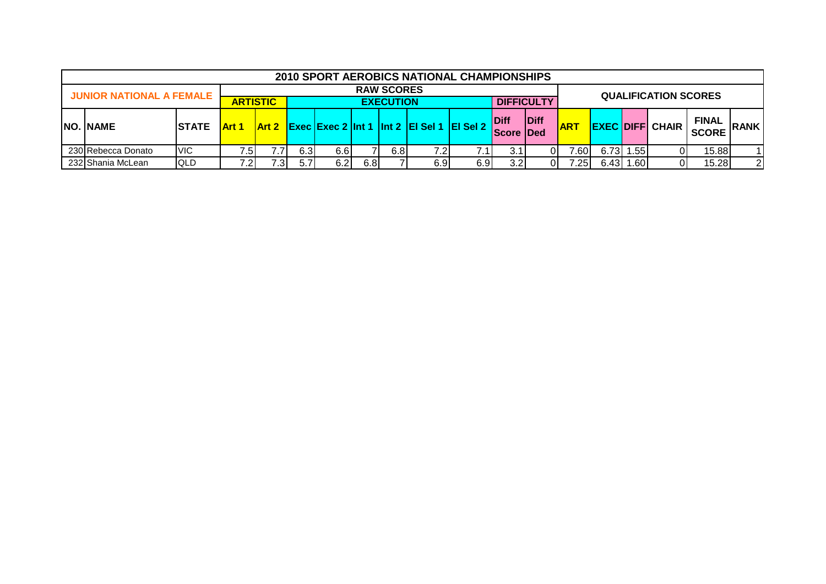|                                                          |                               |     |     |     |      |      |                   | 2010 SPORT AEROBICS NATIONAL CHAMPIONSHIPS                    |           |                          |      |            |       |       |                             |                              |                |
|----------------------------------------------------------|-------------------------------|-----|-----|-----|------|------|-------------------|---------------------------------------------------------------|-----------|--------------------------|------|------------|-------|-------|-----------------------------|------------------------------|----------------|
| <b>JUNIOR NATIONAL A FEMALE</b>                          |                               |     |     |     |      |      | <b>RAW SCORES</b> |                                                               |           |                          |      |            |       |       | <b>QUALIFICATION SCORES</b> |                              |                |
| <b>DIFFICULTY</b><br><b>ARTISTIC</b><br><b>EXECUTION</b> |                               |     |     |     |      |      |                   |                                                               |           |                          |      |            |       |       |                             |                              |                |
| <b>NO. NAME</b>                                          | <b>ISTATE</b><br><b>Art 1</b> |     |     |     |      |      |                   | Art 2 $ $ Exec   Exec 2   Int 1   Int 2   EI SeI 1   EI SeI 2 |           | Diff<br><b>Score Ded</b> | Diff | <b>ART</b> |       |       | <b>EXEC DIFFI CHAIR</b>     | <b>FINAL</b><br><b>SCORE</b> | <b>RANK</b>    |
| 230 Rebecca Donato                                       | <b>IVIC</b>                   | 7.5 |     | 6.3 | 6.6I |      | 6.8               | 7.2                                                           | $\cdot$ 1 | 3.1                      | 01   | .60        | 6.73  | 1.551 | 01                          | 15.88                        |                |
| 232 Shania McLean                                        | <b>IQLD</b>                   | 7.2 | .31 | 5.7 | 6.2  | 6.81 |                   | 6.9                                                           | 6.9       | 3.2 <sub>l</sub>         | 01   | .25        | 6.43I | l.60l | 01                          | 15.28                        | $\overline{2}$ |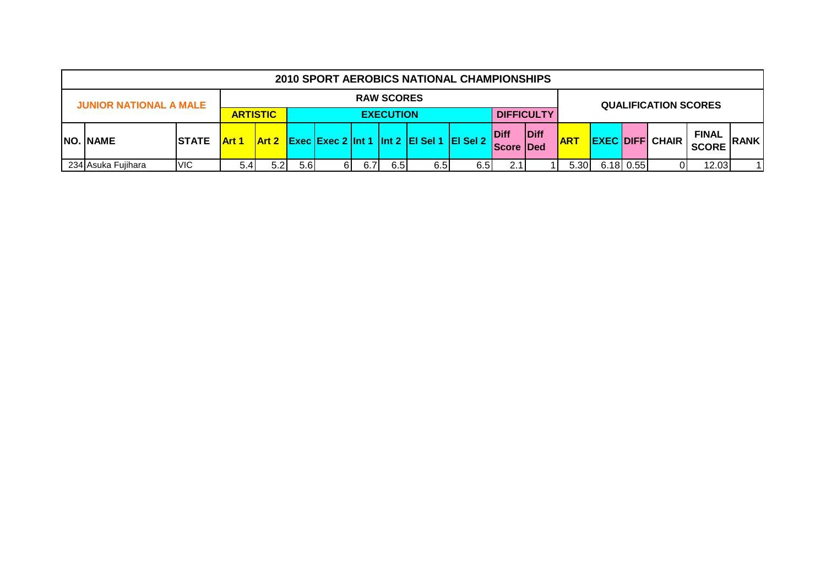|                                                                                           |                                                                                                                                         |  |  |  |  |  |                                                         | 2010 SPORT AEROBICS NATIONAL CHAMPIONSHIPS |                                 |      |            |  |                        |                              |             |  |
|-------------------------------------------------------------------------------------------|-----------------------------------------------------------------------------------------------------------------------------------------|--|--|--|--|--|---------------------------------------------------------|--------------------------------------------|---------------------------------|------|------------|--|------------------------|------------------------------|-------------|--|
|                                                                                           |                                                                                                                                         |  |  |  |  |  | <b>RAW SCORES</b>                                       |                                            |                                 |      |            |  |                        | <b>QUALIFICATION SCORES</b>  |             |  |
| <b>JUNIOR NATIONAL A MALE</b><br><b>DIFFICULTY</b><br><b>ARTISTIC</b><br><b>EXECUTION</b> |                                                                                                                                         |  |  |  |  |  |                                                         |                                            |                                 |      |            |  |                        |                              |             |  |
| <b>NO. NAME</b><br><b>STATE</b>                                                           | <b>Art 1</b>                                                                                                                            |  |  |  |  |  | $\vert$ Art 2 Exec Exec 2 Int 1 Int 2 EI Sel 1 EI Sel 2 |                                            | <b>Diff</b><br><b>Score Ded</b> | Diff | <b>ART</b> |  | <b>EXEC DIFF CHAIR</b> | <b>FINAL</b><br><b>SCORE</b> | <b>RANK</b> |  |
| 234 Asuka Fujihara                                                                        | 12.03<br>5.6<br>$6.18 \mid 0.55 \mid$<br><b>VIC</b><br>6.5I<br>6.5<br>01<br>5.4<br>5.2<br>6.7 <sub>l</sub><br>5.30<br>61<br>2.1<br>6.5I |  |  |  |  |  |                                                         |                                            |                                 |      |            |  | 11                     |                              |             |  |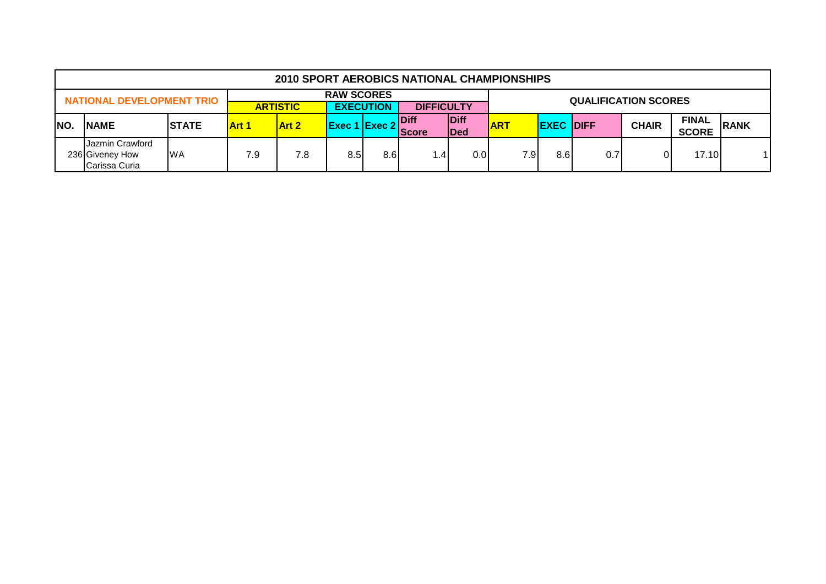|      |                                                     |               |              | 2010 SPORT AEROBICS NATIONAL CHAMPIONSHIPS |                                                                                                                      |     |                   |     |     |     |                             |              |              |  |
|------|-----------------------------------------------------|---------------|--------------|--------------------------------------------|----------------------------------------------------------------------------------------------------------------------|-----|-------------------|-----|-----|-----|-----------------------------|--------------|--------------|--|
|      | <b>NATIONAL DEVELOPMENT TRIO</b>                    |               |              |                                            | <b>RAW SCORES</b>                                                                                                    |     |                   |     |     |     | <b>QUALIFICATION SCORES</b> |              |              |  |
|      |                                                     |               |              | <b>ARTISTIC</b>                            | <b>EXECUTION</b>                                                                                                     |     | <b>DIFFICULTY</b> |     |     |     |                             |              |              |  |
| INO. | <b>NAME</b>                                         | <b>ISTATE</b> | <b>Art 1</b> | <b>Art 2</b>                               | Diff<br><b>Diff</b><br><b>ART</b><br><b>CHAIR</b><br><b>Exec 1 Exec 2</b><br><b>EXEC DIFF</b><br>Ded<br><b>Score</b> |     |                   |     |     |     |                             | <b>FINAL</b> | <b>RANK</b>  |  |
|      |                                                     |               |              |                                            |                                                                                                                      |     |                   |     |     |     |                             |              | <b>SCORE</b> |  |
|      | Jazmin Crawford<br>236 Giveney How<br>Carissa Curia | <b>WA</b>     | 7.9          | 7.8                                        | 8.5                                                                                                                  | 8.6 | .4                | 0.0 | 7.9 | 8.6 | 0.7                         | Οl           | 17.10        |  |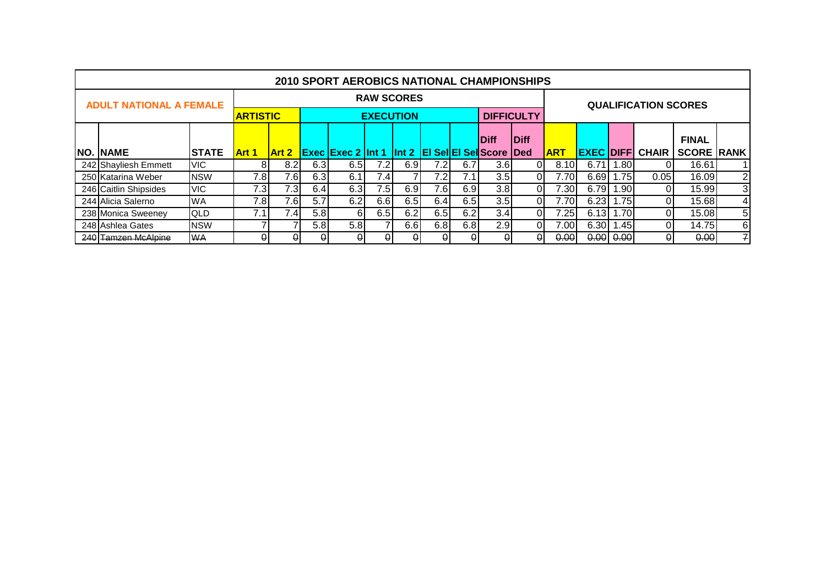|                                |              |                 |                  |                  | <b>2010 SPORT AEROBICS NATIONAL CHAMPIONSHIPS</b>       |                   |     |     |     |                   |              |             |      |       |                             |                   |                |
|--------------------------------|--------------|-----------------|------------------|------------------|---------------------------------------------------------|-------------------|-----|-----|-----|-------------------|--------------|-------------|------|-------|-----------------------------|-------------------|----------------|
| <b>ADULT NATIONAL A FEMALE</b> |              |                 |                  |                  |                                                         | <b>RAW SCORES</b> |     |     |     |                   |              |             |      |       | <b>QUALIFICATION SCORES</b> |                   |                |
|                                |              | <b>ARTISTIC</b> |                  |                  |                                                         | <b>EXECUTION</b>  |     |     |     | <b>DIFFICULTY</b> |              |             |      |       |                             |                   |                |
|                                |              |                 |                  |                  |                                                         |                   |     |     |     | <b>Diff</b>       | <b>IDiff</b> |             |      |       |                             | <b>FINAL</b>      |                |
| <b>NO. NAME</b>                | <b>STATE</b> | <b>Art 1</b>    | <b>Art 2</b>     |                  | <b>Exec Exec 2 Int 1 Int 2 EI Sel EI Sell Score Ded</b> |                   |     |     |     |                   |              | <u> ART</u> |      |       | <b>EXEC DIFFI CHAIR</b>     | <b>SCORE RANK</b> |                |
| 242 Shayliesh Emmett           | <b>VIC</b>   | 8               | 8.2              | 6.3 <sub>l</sub> | 6.5                                                     | 7.2               | 6.9 | 7.2 | 6.7 | 3.6 <sub>l</sub>  | ΩI           | 8.10        | 6.71 | 1.80  |                             | 16.61             |                |
| 250 Katarina Weber             | <b>NSW</b>   | 7.8             | 7.6              | 6.3              | 6.1                                                     | 7.4               |     | 7.2 | 7.1 | 3.5               | ΩI           | 7.70        | 6.69 | ا75،، | 0.05                        | 16.09             | $\overline{2}$ |
| 246 Caitlin Shipsides          | <b>VIC</b>   | 7.3             | 7.3 <sub>1</sub> | 6.4              | 6.3                                                     | 7.5               | 6.9 | 7.6 | 6.9 | 3.8               | ΩI           | 7.30        | 6.79 | .901  |                             | 15.99             | $\overline{3}$ |
| 244 Alicia Salerno             | <b>WA</b>    | 7.8             | 7.6              | 5.7              | 6.2                                                     | 6.6               | 6.5 | 6.4 | 6.5 | 3.5               | Οl           | 7.70        | 6.23 | 1.75  | $\Omega$                    | 15.68             | $\vert$        |
| 238 Monica Sweeney             | <b>QLD</b>   | 7.1             | 7.4 <sub>1</sub> | 5.8              | 61                                                      | 6.5               | 6.2 | 6.5 | 6.2 | 3.4               | 01           | 7.251       | 6.13 | 1.70  | ΩI                          | 15.08             | 5 <sub>l</sub> |
| 248 Ashlea Gates               | <b>NSW</b>   |                 |                  | 5.8              | 5.8                                                     |                   | 6.6 | 6.8 | 6.8 | 2.9               | ΩI           | 7.00        | 6.30 | .451  | ΩI                          | 14.75             | 6              |
| 240 Tamzen McAlpine            | <b>WA</b>    | $\Omega$        | ٥ı               | 0                | 0                                                       | 01                | ۵ı  | 0   | θI  | θI                | $\theta$     | 0.00        | 0.00 | 0.00  | $\theta$                    | 0.00              | 귀              |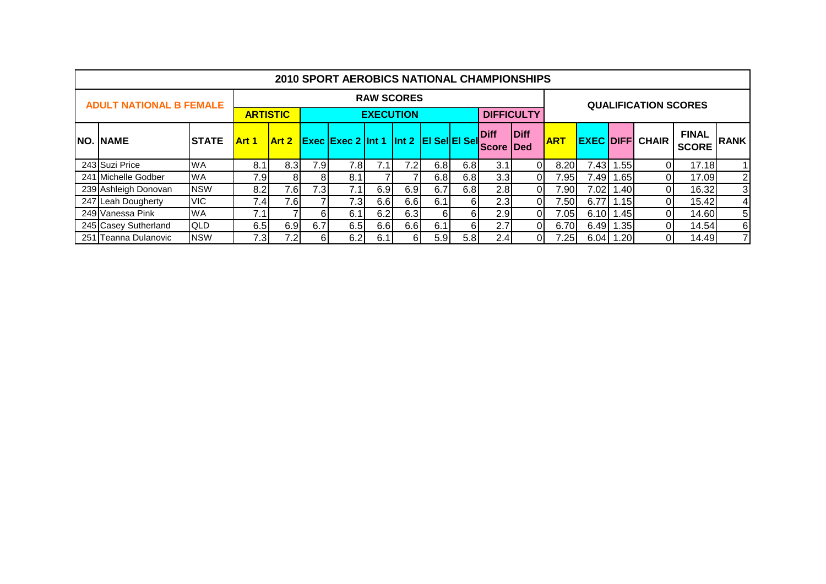|                                |              |              |                 |     | <b>2010 SPORT AEROBICS NATIONAL CHAMPIONSHIPS</b> |                   |     |      |     |                   |             |            |      |                  |                             |              |                 |
|--------------------------------|--------------|--------------|-----------------|-----|---------------------------------------------------|-------------------|-----|------|-----|-------------------|-------------|------------|------|------------------|-----------------------------|--------------|-----------------|
| <b>ADULT NATIONAL B FEMALE</b> |              |              |                 |     |                                                   | <b>RAW SCORES</b> |     |      |     |                   |             |            |      |                  | <b>QUALIFICATION SCORES</b> |              |                 |
|                                |              |              | <b>ARTISTIC</b> |     |                                                   | <b>EXECUTION</b>  |     |      |     | <b>DIFFICULTY</b> |             |            |      |                  |                             |              |                 |
| <b>NO. NAME</b>                | <b>STATE</b> | <b>Art 1</b> | <b>Art 2</b>    |     | <b>Exec Exec 2 Int 1 Int 2 EI Sel EI Sel</b>      |                   |     |      |     | <b>Diff</b>       | <b>Diff</b> | <b>ART</b> |      |                  | <b>EXEC DIFFI CHAIR</b>     | <b>FINAL</b> | <b>RANK</b>     |
|                                |              |              |                 |     |                                                   |                   |     |      |     | <b>Score</b>      | <b>IDed</b> |            |      |                  |                             | <b>SCORE</b> |                 |
| 243 Suzi Price                 | <b>WA</b>    | 8.1          | 8.3             | 7.9 | 7.8                                               | 7.1               | 7.2 | 6.8  | 6.8 | 3.1               | 0I          | 8.20       | 7.43 | 1.55             | ΩI                          | 17.18        | 11              |
| 241 Michelle Godber            | <b>WA</b>    | 7.9          | 8               | 81  | 8.1                                               |                   |     | 6.8  | 6.8 | 3.3 <sub>l</sub>  | ΩI          | 7.95       | 7.49 | 1.65             | ΩI                          | 17.09        | $\overline{2}$  |
| 239 Ashleigh Donovan           | <b>NSW</b>   | 8.2          | 7.6             | 7.3 | 7.1 <sub>1</sub>                                  | 6.9               | 6.9 | 6.7  | 6.8 | 2.8               | 01          | 7.90       | 7.02 | 1.40I            | $\Omega$                    | 16.32        | $\mathbf{3}$    |
| 247 Leah Dougherty             | <b>VIC</b>   | 7.4          | 7.6             |     | 7.3                                               | 6.6               | 6.6 | 6.1  | 6I  | 2.3               | Οl          | 7.50       | 6.77 | 1.15             | ΟI                          | 15.42        | $\vert 4 \vert$ |
| 249 Vanessa Pink               | <b>WA</b>    | 7.1          |                 | 61  | 6.1                                               | 6.2               | 6.3 | 6I   | 61  | 2.9               |             | 7.05       | 6.10 | 1.45             | ΩI                          | 14.60        | 5 <sub>l</sub>  |
| 245 Casey Sutherland           | <b>QLD</b>   | 6.5          | 6.9             | 6.7 | 6.5                                               | 6.6               | 6.6 | 6.1  | 61  | 2.7               | ΩI          | 6.70       | 6.49 | .35 <sub>1</sub> |                             | 14.54        | $6 \mid$        |
| 251 Teanna Dulanovic           | <b>NSW</b>   | 7.3          | 7.2             | 61  | 6.2                                               | 6.1               | 61  | 5.91 | 5.8 | 2.4               | ΩI          | 7.25       | 6.04 | 1.20             | ΩI                          | 14.49        | 71              |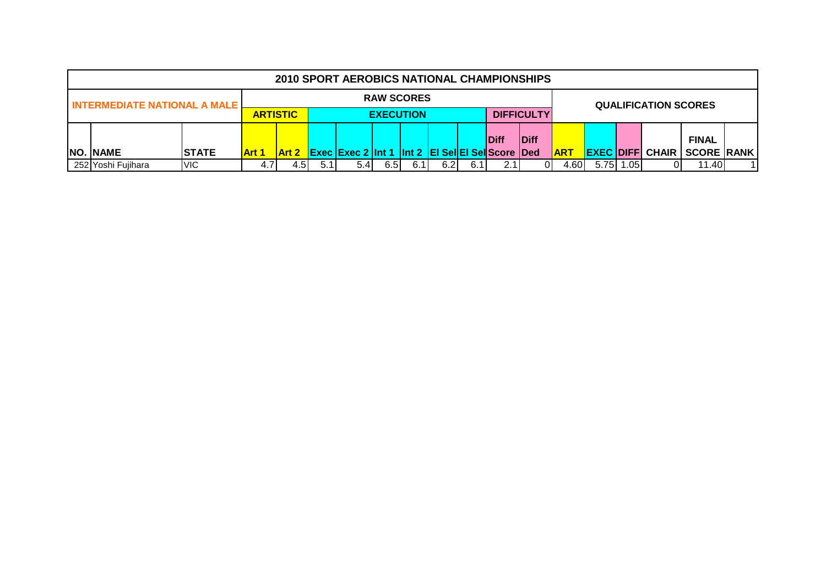|                                       |              |                 |                                                                                                        |  | 2010 SPORT AEROBICS NATIONAL CHAMPIONSHIPS |                   |  |  |  |  |  |            |  |              |                             |                   |  |
|---------------------------------------|--------------|-----------------|--------------------------------------------------------------------------------------------------------|--|--------------------------------------------|-------------------|--|--|--|--|--|------------|--|--------------|-----------------------------|-------------------|--|
| <b>INTERMEDIATE NATIONAL A MALE L</b> |              |                 |                                                                                                        |  |                                            | <b>RAW SCORES</b> |  |  |  |  |  |            |  |              | <b>QUALIFICATION SCORES</b> |                   |  |
|                                       |              | <b>ARTISTIC</b> |                                                                                                        |  | <b>EXECUTION</b>                           | <b>DIFFICULTY</b> |  |  |  |  |  |            |  |              |                             |                   |  |
|                                       |              |                 |                                                                                                        |  |                                            |                   |  |  |  |  |  |            |  | <b>FINAL</b> |                             |                   |  |
| <b>NO. NAME</b>                       | <b>STATE</b> | <b>Art 1</b>    | <b>IDiff</b><br><b>Diff</b><br><b>Exec Exec 2 Int 1 Int 2 EI SellEI Sell Score Ded</b><br><b>Art 2</b> |  |                                            |                   |  |  |  |  |  | <b>ART</b> |  |              | <b>EXEC DIFFI CHAIR</b>     | <b>SCORE RANK</b> |  |
| 252 Yoshi Fujihara                    | <b>VIC</b>   | 4.7             | 5.75 1.05<br>6.5<br>6.1<br>4.60<br>6.2<br>11.40<br>4.5I<br>5.4<br>6.1<br>5.11<br>2.11<br>01            |  |                                            |                   |  |  |  |  |  |            |  |              |                             |                   |  |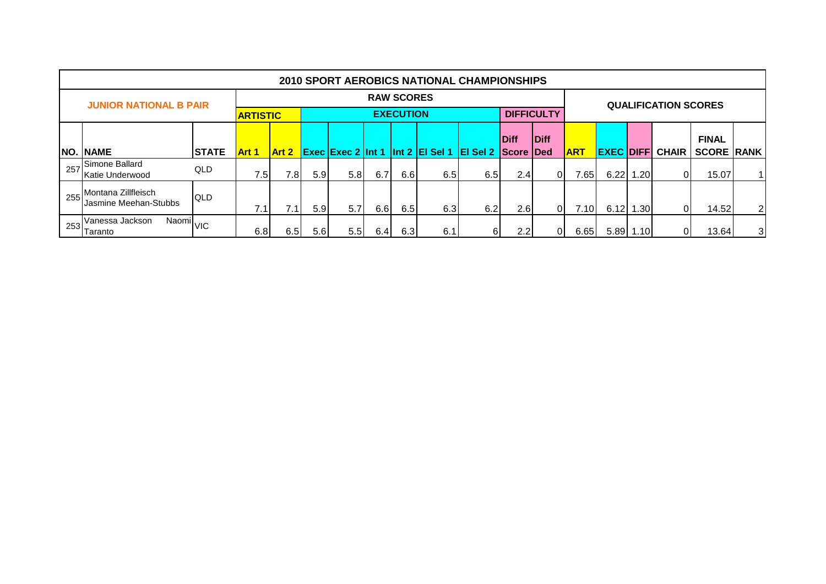|      |                                                    |              |                 |                          |     |     |     |                   | <b>2010 SPORT AEROBICS NATIONAL CHAMPIONSHIPS</b> |                           |                  |                   |            |             |              |                             |                   |    |
|------|----------------------------------------------------|--------------|-----------------|--------------------------|-----|-----|-----|-------------------|---------------------------------------------------|---------------------------|------------------|-------------------|------------|-------------|--------------|-----------------------------|-------------------|----|
|      | <b>JUNIOR NATIONAL B PAIR</b>                      |              |                 |                          |     |     |     | <b>RAW SCORES</b> |                                                   |                           |                  |                   |            |             |              | <b>QUALIFICATION SCORES</b> |                   |    |
|      |                                                    |              | <b>ARTISTIC</b> |                          |     |     |     | <b>EXECUTION</b>  |                                                   |                           |                  | <b>DIFFICULTY</b> |            |             |              |                             |                   |    |
|      |                                                    |              |                 |                          |     |     |     |                   |                                                   |                           | <b>Diff</b>      | <b>Diff</b>       |            |             |              |                             | <b>FINAL</b>      |    |
| INO. | <b>NAME</b>                                        | <b>STATE</b> | <b>Art 1</b>    | Art 2                    |     |     |     |                   | <b>Exec Exec 2 Int 1 Int 2 EI Sel 1</b>           | <b>El Sel 2 Score Ded</b> |                  |                   | <b>ART</b> | <b>EXEC</b> | <b>IDIFF</b> | <b>CHAIR</b>                | <b>SCORE RANK</b> |    |
| 257  | Simone Ballard<br>Katie Underwood                  | QLD          | 7.5             | 7.8                      | 5.9 | 5.8 | 6.7 | 6.6               | 6.5                                               | 6.5                       | 2.4              | $\overline{0}$    | 7.651      | 6.22        | 1.20         | $\Omega$                    | 15.07             | 11 |
| 255  | Montana Zillfleisch<br>Jasmine Meehan-Stubbs       | <b>QLD</b>   | 7.1             | $\overline{\phantom{a}}$ | 5.9 | 5.7 | 6.6 | 6.5               | 6.3                                               | 6.2                       | 2.6              | $\overline{0}$    | 7.10I      | 6.12        | 1.30         | 0I                          | 14.52             | 21 |
| 253  | Naomi <sub>VIC</sub><br>Vanessa Jackson<br>Taranto |              | 6.8             | 6.5                      | 5.6 | 5.5 | 6.4 | 6.3               | 6.1                                               | 61                        | $2.2\phantom{0}$ | ΟI                | 6.65       | 5.89        | 1.10         | 01                          | 13.64             | 31 |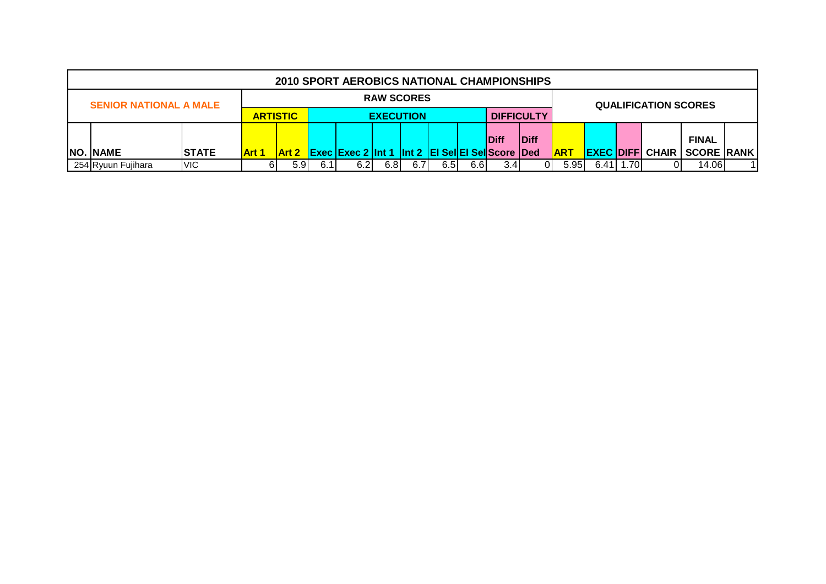|                               |              |                                                                                                                                                                                           |              |  | 2010 SPORT AEROBICS NATIONAL CHAMPIONSHIPS |                   |  |  |              |                   |  |  |  |                   |                             |  |  |
|-------------------------------|--------------|-------------------------------------------------------------------------------------------------------------------------------------------------------------------------------------------|--------------|--|--------------------------------------------|-------------------|--|--|--------------|-------------------|--|--|--|-------------------|-----------------------------|--|--|
| <b>SENIOR NATIONAL A MALE</b> |              |                                                                                                                                                                                           |              |  |                                            | <b>RAW SCORES</b> |  |  |              |                   |  |  |  |                   | <b>QUALIFICATION SCORES</b> |  |  |
|                               |              | <b>ARTISTIC</b>                                                                                                                                                                           |              |  |                                            | <b>EXECUTION</b>  |  |  |              | <b>DIFFICULTY</b> |  |  |  |                   |                             |  |  |
|                               |              |                                                                                                                                                                                           |              |  |                                            |                   |  |  | <b>IDiff</b> |                   |  |  |  | <b>FINAL</b>      |                             |  |  |
| <b>NO. NAME</b>               | <b>STATE</b> | <b>Art 1</b>                                                                                                                                                                              | <b>Art 2</b> |  |                                            |                   |  |  |              | <b>ART</b>        |  |  |  | <b>SCORE RANK</b> |                             |  |  |
| 254 Ryuun Fujihara            | <b>VIC</b>   | <b>EXEC DIFFI CHAIR</b><br><b>Exec Exec 2 Int 1 Int 2 EI SellEI Sell Score Ded</b><br>6.41   1.70<br>6.2<br>6.81<br>6.7<br>5.95<br>6.6I<br>14.06<br>5.91<br>6.1<br>6.5<br>3.4<br>61<br>01 |              |  |                                            |                   |  |  |              |                   |  |  |  |                   |                             |  |  |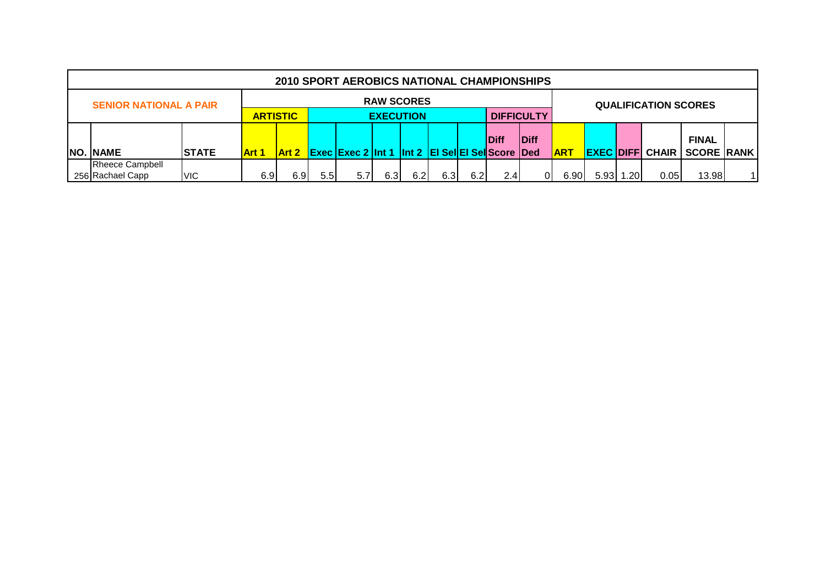|                                                            |                   |              |     |                  | 2010 SPORT AEROBICS NATIONAL CHAMPIONSHIPS                    |                   |     |      |           |      |      |            |                   |       |                             |                   |  |
|------------------------------------------------------------|-------------------|--------------|-----|------------------|---------------------------------------------------------------|-------------------|-----|------|-----------|------|------|------------|-------------------|-------|-----------------------------|-------------------|--|
| <b>SENIOR NATIONAL A PAIR</b>                              |                   |              |     |                  |                                                               | <b>RAW SCORES</b> |     |      |           |      |      |            |                   |       | <b>QUALIFICATION SCORES</b> |                   |  |
|                                                            | <b>DIFFICULTY</b> |              |     |                  |                                                               |                   |     |      |           |      |      |            |                   |       |                             |                   |  |
| <b>ARTISTIC</b><br><b>EXECUTION</b><br>Diff<br><b>Diff</b> |                   |              |     |                  |                                                               |                   |     |      |           |      |      |            |                   |       |                             | <b>FINAL</b>      |  |
| <b>NO. NAME</b>                                            | <b>ISTATE</b>     | <b>Art 1</b> |     |                  | <b>Art 2 Exec Exec 2 Int 1 Int 2 EI SellEI Sell Score Ded</b> |                   |     |      |           |      |      | <b>ART</b> | <b>EXEC DIFFI</b> |       | <b>CHAIR</b>                | <b>SCORE RANK</b> |  |
| Rheece Campbell                                            |                   |              |     |                  |                                                               |                   |     |      |           |      |      |            |                   |       |                             |                   |  |
| 256 Rachael Capp                                           | <b>VIC</b>        | 6.9          | 6.9 | 5.5 <sub>1</sub> | 5.7                                                           | 6.3 <sub>l</sub>  | 6.2 | 6.3I | 2.4<br>ΩI | 6.90 | 5.93 | .201       | 0.05              | 13.98 |                             |                   |  |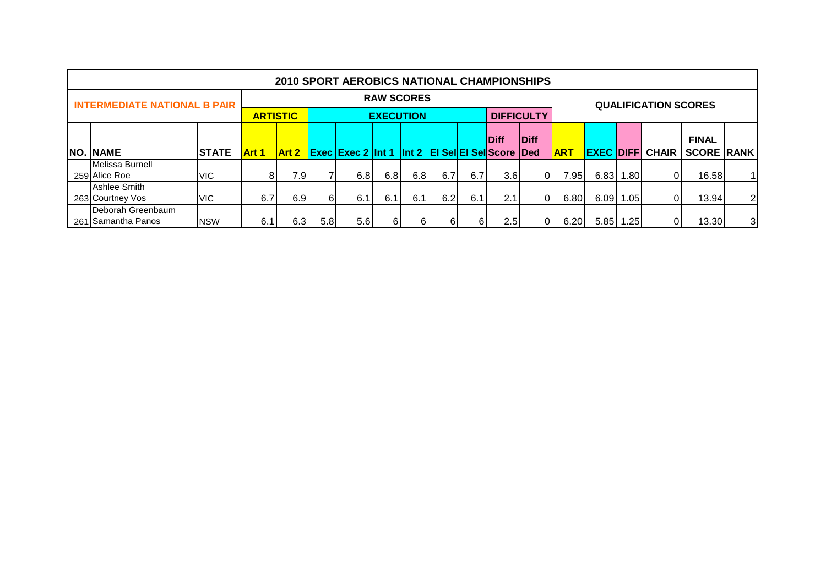|                                         |              |                  |                                                                               |    | <b>2010 SPORT AEROBICS NATIONAL CHAMPIONSHIPS</b> |                   |     |     |     |      |                   |                  |                   |       |                             |                   |                |
|-----------------------------------------|--------------|------------------|-------------------------------------------------------------------------------|----|---------------------------------------------------|-------------------|-----|-----|-----|------|-------------------|------------------|-------------------|-------|-----------------------------|-------------------|----------------|
| <b>INTERMEDIATE NATIONAL B PAIR</b>     |              |                  |                                                                               |    |                                                   | <b>RAW SCORES</b> |     |     |     |      |                   |                  |                   |       | <b>QUALIFICATION SCORES</b> |                   |                |
|                                         |              |                  | <b>ARTISTIC</b>                                                               |    |                                                   | <b>EXECUTION</b>  |     |     |     |      | <b>DIFFICULTY</b> |                  |                   |       |                             |                   |                |
|                                         |              |                  | Diff<br><b>Diff</b><br><b>Exec Exec 2 Int 1 Int 2 EI Sel EI Sel Score Ded</b> |    |                                                   |                   |     |     |     |      |                   |                  |                   |       |                             | <b>FINAL</b>      |                |
| NO. NAME                                | <b>STATE</b> | <b>Art 1</b>     | <b>Art 2</b>                                                                  |    |                                                   |                   |     |     |     |      |                   | <b>ART</b>       | <b>EXEC DIFFI</b> |       | <b>CHAIR</b>                | <b>SCORE RANK</b> |                |
| Melissa Burnell                         |              |                  |                                                                               |    |                                                   |                   |     |     |     |      |                   |                  |                   |       |                             |                   |                |
| 259 Alice Roe                           | <b>VIC</b>   | 81               | 7.9                                                                           |    | 6.8                                               | 6.8               | 6.8 | 6.7 | 6.7 | 3.6  | ΩI                | 7.95             | 6.83              | 1.80  | 0                           | 16.58             |                |
| Ashlee Smith                            |              |                  |                                                                               |    |                                                   |                   |     |     |     |      |                   |                  |                   |       |                             |                   |                |
| 263 Courtney Vos                        | <b>VIC</b>   | 6.7              | 6.9                                                                           | 61 | 6.1                                               | 6.1               | 6.1 | 6.2 | 6.1 | 2.1  | 01                | 6.80             | 6.09              | 1.05  |                             | 13.94             | $\overline{2}$ |
| Deborah Greenbaum<br>261 Samantha Panos | 6.3          | 5.8 <sub>1</sub> | 5.6                                                                           |    | -6.                                               | 61                |     | 2.5 | 01  | 6.20 | 5.85              | .25 <sub>1</sub> |                   | 13.30 | 3                           |                   |                |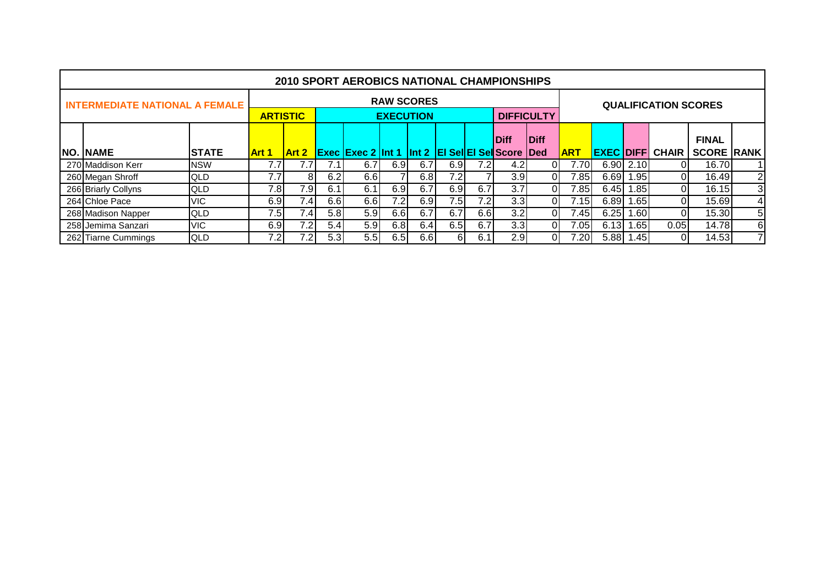|                                       |              |              |                                                                                                                                                           |     | <b>2010 SPORT AEROBICS NATIONAL CHAMPIONSHIPS</b> |                   |      |     |     |                  |          |            |              |           |                             |                   |   |
|---------------------------------------|--------------|--------------|-----------------------------------------------------------------------------------------------------------------------------------------------------------|-----|---------------------------------------------------|-------------------|------|-----|-----|------------------|----------|------------|--------------|-----------|-----------------------------|-------------------|---|
| <b>INTERMEDIATE NATIONAL A FEMALE</b> |              |              |                                                                                                                                                           |     |                                                   | <b>RAW SCORES</b> |      |     |     |                  |          |            |              |           | <b>QUALIFICATION SCORES</b> |                   |   |
|                                       |              |              |                                                                                                                                                           |     |                                                   |                   |      |     |     |                  |          |            |              |           |                             |                   |   |
|                                       |              |              | <b>ARTISTIC</b><br><b>EXECUTION</b><br><b>DIFFICULTY</b><br><b>Diff</b><br>Diff<br><b>Exec Exec 2 Int 1 Int 2 EI Sel EI Sel Score Ded</b><br><b>Art 2</b> |     |                                                   |                   |      |     |     |                  |          |            |              |           |                             | <b>FINAL</b>      |   |
| <b>NO. NAME</b>                       | <b>STATE</b> | <b>Art 1</b> |                                                                                                                                                           |     |                                                   |                   |      |     |     |                  |          | <b>ART</b> |              |           | <b>EXEC DIFFI CHAIR</b>     | <b>SCORE RANK</b> |   |
| 270 Maddison Kerr                     | <b>NSW</b>   | 7.7          | 7.7                                                                                                                                                       | 7.1 | 6.7                                               | 6.9               | 6.7  | 6.9 | 7.2 | 4.2              |          | 7.70       |              | 6.90 2.10 | ΩI                          | 16.70             |   |
| 260 Megan Shroff                      | QLD          | 7.7          | 81                                                                                                                                                        | 6.2 | 6.6                                               |                   | 6.81 | 7.2 |     | 3.9 <sub>l</sub> | $\Omega$ | 7.85       | 6.69         | 1.95      | ΟI                          | 16.49             | 2 |
| 266 Briarly Collyns                   | <b>QLD</b>   | 7.8          | 7.91                                                                                                                                                      | 6.1 | 6.1                                               | 6.9               | 6.7  | 6.9 | 6.7 | 3.7              |          | 7.85       | 6.45         | 1.85      | ΟI                          | 16.15             | 3 |
| 264 Chloe Pace                        | <b>VIC</b>   | 6.9          | 7.4 <sub>1</sub>                                                                                                                                          | 6.6 | 6.6                                               | 7.2               | 6.9  | 7.5 | 7.2 | 3.3 <sub>l</sub> |          | 7.15       | 6.89         | 1.65      | ΩI                          | 15.69             | 4 |
| 268 Madison Napper                    | QLD          | 7.5          | 7.4                                                                                                                                                       | 5.8 | 5.9 <sub>l</sub>                                  | 6.6               | 6.7  | 6.7 | 6.6 | 3.2              |          | 7.45       | 6.25         | 1.601     | 0I                          | 15.30             | 5 |
| 258 Jemima Sanzari                    | <b>VIC</b>   |              | 7.2                                                                                                                                                       |     |                                                   |                   |      |     | 6.7 |                  |          | 7.051      | 6.13         | 1.65      | 0.05                        | 14.78             | 6 |
| 262 Tiarne Cummings                   | <b>QLD</b>   | 7.2          | 6.5<br>5.9<br>6.8<br>3.3<br>6.9<br>6.4<br>5.4 <sub>l</sub><br>7.2<br>6.1<br>5.3<br>5.5<br>6.5<br>6.6<br>6<br>2.9                                          |     |                                                   |                   |      |     |     |                  |          |            | 7.20<br>5.88 | 1.45      | $\Omega$                    | 14.53             |   |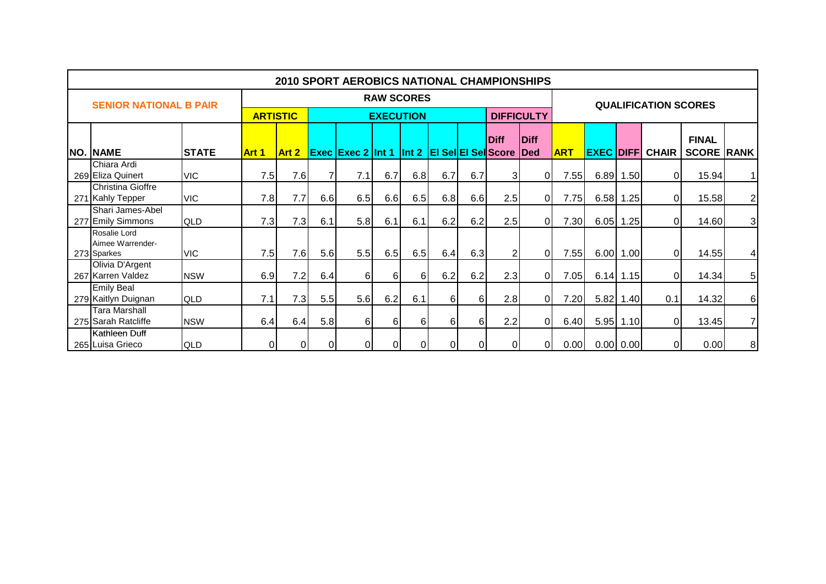|                                                 |              |                 |       |          | <b>2010 SPORT AEROBICS NATIONAL CHAMPIONSHIPS</b>      |                   |          |          |     |                |                   |            |                  |             |                             |                   |                 |
|-------------------------------------------------|--------------|-----------------|-------|----------|--------------------------------------------------------|-------------------|----------|----------|-----|----------------|-------------------|------------|------------------|-------------|-----------------------------|-------------------|-----------------|
| <b>SENIOR NATIONAL B PAIR</b>                   |              |                 |       |          |                                                        | <b>RAW SCORES</b> |          |          |     |                |                   |            |                  |             | <b>QUALIFICATION SCORES</b> |                   |                 |
|                                                 |              | <b>ARTISTIC</b> |       |          |                                                        | <b>EXECUTION</b>  |          |          |     |                | <b>DIFFICULTY</b> |            |                  |             |                             |                   |                 |
|                                                 |              |                 |       |          |                                                        |                   |          |          |     | <b>Diff</b>    | <b>Diff</b>       |            |                  |             |                             | <b>FINAL</b>      |                 |
| NO. NAME                                        | <b>STATE</b> | <b>Art 1</b>    | Art 2 |          | <b>Exec Exec 2 Int 1 Int 2 EI Sel EI Sel Score Ded</b> |                   |          |          |     |                |                   | <b>ART</b> | <b>EXEC DIFF</b> |             | <b>CHAIR</b>                | <b>SCORE RANK</b> |                 |
| Chiara Ardi<br>269 Eliza Quinert                | <b>VIC</b>   | 7.5             | 7.6   | 7        | 7.1                                                    | 6.7               | 6.8      | 6.7      | 6.7 | 31             | 01                | 7.55       |                  | 6.89 1.50   | $\Omega$                    | 15.94             | 11              |
| Christina Gioffre<br>271 Kahly Tepper           | <b>VIC</b>   | 7.8             | 7.7   | 6.6      | 6.5                                                    | 6.6               | 6.5      | 6.8      | 6.6 | 2.5            | 01                | 7.75       |                  | 6.58 1.25   | $\Omega$                    | 15.58             | $\mathbf{2}$    |
| Shari James-Abel<br>277 Emily Simmons           | QLD          | 7.3             | 7.3   | 6.1      | 5.8                                                    | 6.1               | 6.1      | 6.2      | 6.2 | 2.5            | ΩI                | 7.30       | 6.05             | 1.25        | $\Omega$                    | 14.60             | 3 <sup>1</sup>  |
| Rosalie Lord<br>Aimee Warrender-<br>273 Sparkes | <b>VIC</b>   | 7.5             | 7.6   | 5.6      | 5.5                                                    | 6.5               | 6.5      | 6.4      | 6.3 | $\overline{2}$ | 01                | 7.55       |                  | 6.00 1.00   | $\Omega$                    | 14.55             | $\vert 4 \vert$ |
| Olivia D'Argent<br>267 Karren Valdez            | <b>NSW</b>   | 6.9             | 7.2   | 6.4      | $6 \mid$                                               | $6 \mid$          | $6 \mid$ | 6.2      | 6.2 | 2.3            | Οl                | 7.05       |                  | $6.14$ 1.15 | $\overline{0}$              | 14.34             | 5 <sup>1</sup>  |
| <b>Emily Beal</b><br>279 Kaitlyn Duignan        | QLD          | 7.1             | 7.3   | 5.5      | 5.6                                                    | 6.2               | 6.1      | 6        | 61  | 2.8            | ΩI                | 7.20       | 5.82             | 1.40        | 0.1                         | 14.32             | 6 <sup>1</sup>  |
| <b>Tara Marshall</b><br>275 Sarah Ratcliffe     | <b>NSW</b>   | 6.4             | 6.4   | 5.8      | $6 \mid$                                               | 6                 | $6 \mid$ | 6        | 6   | 2.2            | ΩI                | 6.40       |                  | $5.95$ 1.10 | $\Omega$                    | 13.45             | 7               |
| Kathleen Duff<br>265 Luisa Grieco               | QLD          | $\overline{0}$  | ΩI    | $\Omega$ | ΟI                                                     | 01                | 0        | $\Omega$ |     | 0l             | ΟI                | 0.00       |                  | 0.00   0.00 | 01                          | 0.00              | 8 <sup>1</sup>  |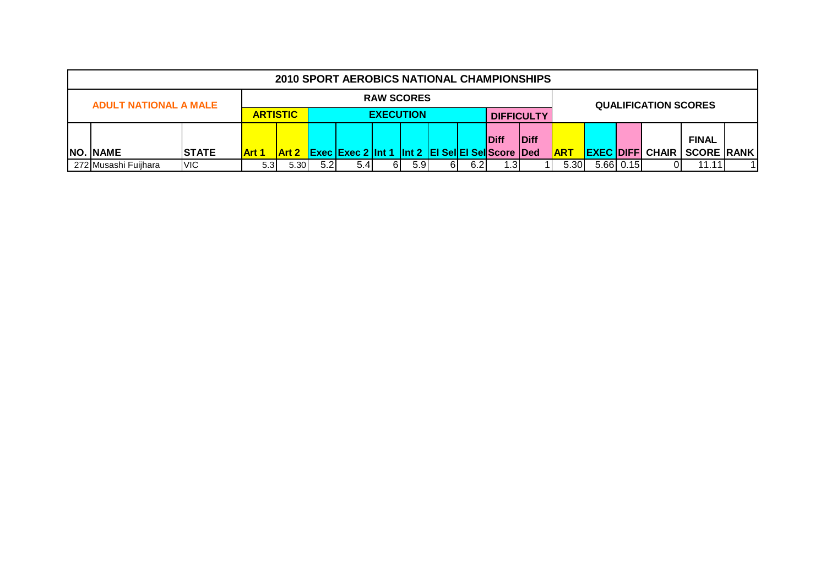|                              |              |                  |              |                   | 2010 SPORT AEROBICS NATIONAL CHAMPIONSHIPS              |    |                   |  |              |            |  |                        |                   |                             |       |  |
|------------------------------|--------------|------------------|--------------|-------------------|---------------------------------------------------------|----|-------------------|--|--------------|------------|--|------------------------|-------------------|-----------------------------|-------|--|
| <b>ADULT NATIONAL A MALE</b> |              |                  |              |                   |                                                         |    | <b>RAW SCORES</b> |  |              |            |  |                        |                   | <b>QUALIFICATION SCORES</b> |       |  |
|                              |              | <b>ARTISTIC</b>  |              | <b>DIFFICULTY</b> |                                                         |    |                   |  |              |            |  |                        |                   |                             |       |  |
|                              |              |                  |              |                   |                                                         |    |                   |  | <b>IDiff</b> |            |  |                        | <b>FINAL</b>      |                             |       |  |
| <b>NO. NAME</b>              | <b>STATE</b> | Art 1            | <b>Art 2</b> |                   | <b>Exec Exec 2 Int 1 Int 2 EI Sel EI Sell</b> Score Ded |    |                   |  |              | <b>ART</b> |  | <b>EXEC DIFF CHAIR</b> | <b>SCORE RANK</b> |                             |       |  |
| 272 Musashi Fuiihara         | <b>VIC</b>   | 5.3 <sub>l</sub> | 5.30         | 5.2               | 5.41                                                    | 61 | 5.9               |  | 6.21         | -31        |  | 5.30                   | $5.66$ 0.15       |                             | 11.11 |  |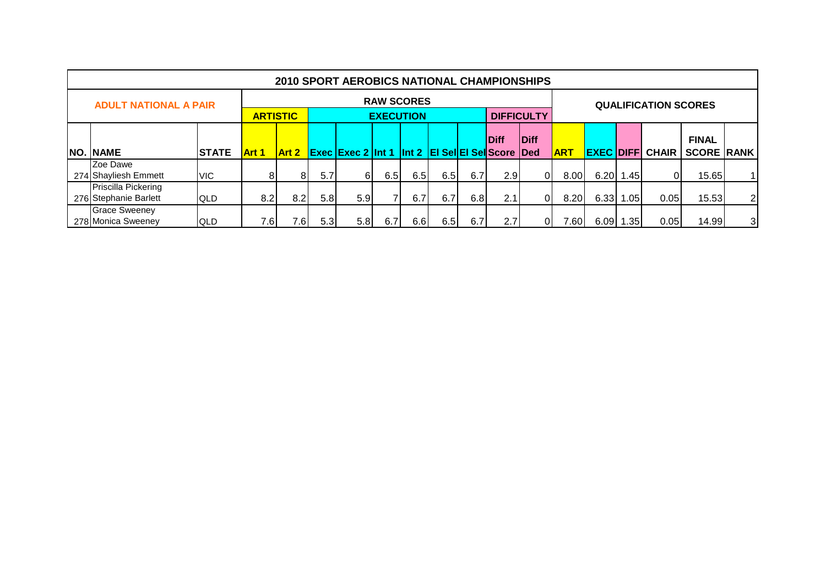|                                                                               |              |       |                 |     | 2010 SPORT AEROBICS NATIONAL CHAMPIONSHIPS |                   |     |     |     |     |                   |            |                   |             |                             |                   |                |
|-------------------------------------------------------------------------------|--------------|-------|-----------------|-----|--------------------------------------------|-------------------|-----|-----|-----|-----|-------------------|------------|-------------------|-------------|-----------------------------|-------------------|----------------|
| <b>ADULT NATIONAL A PAIR</b>                                                  |              |       |                 |     |                                            | <b>RAW SCORES</b> |     |     |     |     |                   |            |                   |             | <b>QUALIFICATION SCORES</b> |                   |                |
|                                                                               |              |       | <b>ARTISTIC</b> |     |                                            | <b>EXECUTION</b>  |     |     |     |     | <b>DIFFICULTY</b> |            |                   |             |                             |                   |                |
| Diff<br><b>Diff</b><br><b>Exec Exec 2 Int 1 Int 2 EI Sel EI Sel Score Ded</b> |              |       |                 |     |                                            |                   |     |     |     |     |                   |            |                   |             |                             | <b>FINAL</b>      |                |
| NO. NAME                                                                      | <b>STATE</b> | Art 1 | <b>Art 2</b>    |     |                                            |                   |     |     |     |     |                   | <b>ART</b> | <b>EXEC DIFFI</b> |             | <b>CHAIR</b>                | <b>SCORE RANK</b> |                |
| Zoe Dawe                                                                      |              |       |                 |     |                                            |                   |     |     |     |     |                   |            |                   |             |                             |                   |                |
| 274 Shayliesh Emmett                                                          | VIC.         | 81    | 81              | 5.7 | 6I                                         | 6.5               | 6.5 | 6.5 | 6.7 | 2.9 | ΟI                | 8.00       |                   | $6.20$ 1.45 | ΟI                          | 15.65             | 11             |
| Priscilla Pickering                                                           |              |       |                 |     |                                            |                   |     |     |     |     |                   |            |                   |             |                             |                   |                |
| 276 Stephanie Barlett<br><b>QLD</b>                                           | 8.2          | 8.2   | 5.8             | 5.9 |                                            | 6.7               | 6.7 | 6.8 | 2.1 | 01  | 8.20              | 6.33       | 1.05              | 0.05        | 15.53                       | $\overline{2}$    |                |
| <b>Grace Sweeney</b><br>278 Monica Sweeney                                    | <b>QLD</b>   | 7.6   | 7.61            | 5.3 | 5.8                                        | 6.7               | 6.6 | 6.5 | 6.7 | 2.7 | 01                | 7.60       | 6.09              | .35         | 0.05                        | 14.99             | $\overline{3}$ |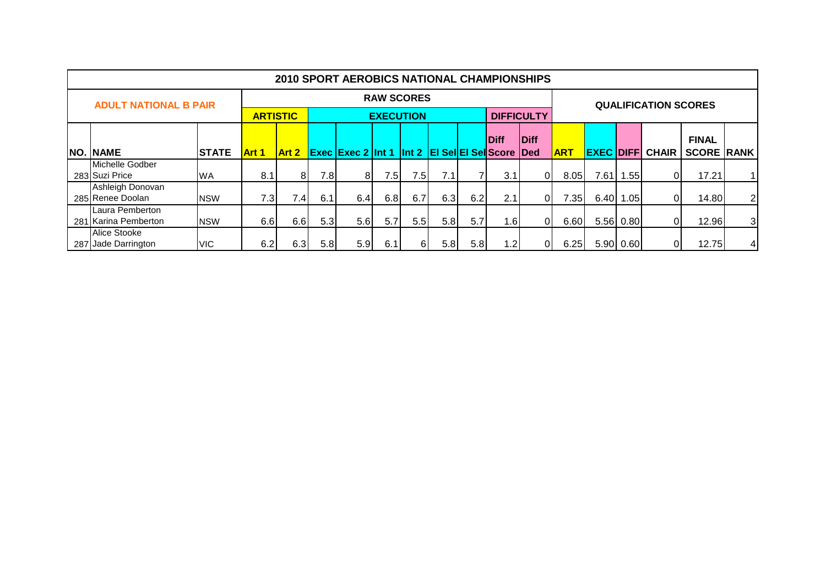|     |                                         |              |                 |                  |     | <b>2010 SPORT AEROBICS NATIONAL CHAMPIONSHIPS</b>      |                   |      |     |     |                  |                   |            |                  |           |                             |                   |                |
|-----|-----------------------------------------|--------------|-----------------|------------------|-----|--------------------------------------------------------|-------------------|------|-----|-----|------------------|-------------------|------------|------------------|-----------|-----------------------------|-------------------|----------------|
|     | <b>ADULT NATIONAL B PAIR</b>            |              |                 |                  |     |                                                        | <b>RAW SCORES</b> |      |     |     |                  |                   |            |                  |           | <b>QUALIFICATION SCORES</b> |                   |                |
|     |                                         |              | <b>ARTISTIC</b> |                  |     |                                                        | <b>EXECUTION</b>  |      |     |     |                  | <b>DIFFICULTY</b> |            |                  |           |                             |                   |                |
|     |                                         |              |                 |                  |     |                                                        |                   |      |     |     | <b>Diff</b>      | Diff              |            |                  |           |                             | <b>FINAL</b>      |                |
|     | <b>NO. NAME</b>                         | <b>STATE</b> | Art 1           | <b>Art 2</b>     |     | <b>Exec Exec 2 Int 1 Int 2 EI Sel EI Sel Score Ded</b> |                   |      |     |     |                  |                   | <b>ART</b> | <b>EXEC DIFF</b> |           | <b>CHAIR</b>                | <b>SCORE RANK</b> |                |
|     | Michelle Godber<br>283 Suzi Price       | <b>WA</b>    | 8.1             | 81               | 7.8 | 81                                                     | 7.5               | 7.5I | 7.1 |     | 3.1              | $\Omega$          | 8.05       | 7.61             | .55       | 0                           | 17.21             |                |
|     | Ashleigh Donovan<br>285 Renee Doolan    | <b>NSW</b>   | 7.3             | 7.4 <sub>l</sub> | 6.1 | 6.4                                                    | 6.8               | 6.7  | 6.3 | 6.2 | 2.1 <sub>1</sub> | 01                | 7.35       | 6.40             | 1.05      |                             | 14.80             | $\overline{2}$ |
|     | Laura Pemberton<br>281 Karina Pemberton | <b>NSW</b>   | 6.6             | 6.6              | 5.3 | 5.6 <sub>1</sub>                                       | 5.7               | 5.5  | 5.8 | 5.7 | 1.6              | $\Omega$          | 6.60       |                  | 5.56 0.80 |                             | 12.96             | 3              |
| 287 | Alice Stooke<br>Jade Darrington         | <b>VIC</b>   | 6.2             | 6.3              | 5.8 | 5.9                                                    | 6.1               | 61   | 5.8 | 5.8 | 1.2              | 01                | 6.25       |                  | 5.90 0.60 |                             | 12.75             | $\overline{4}$ |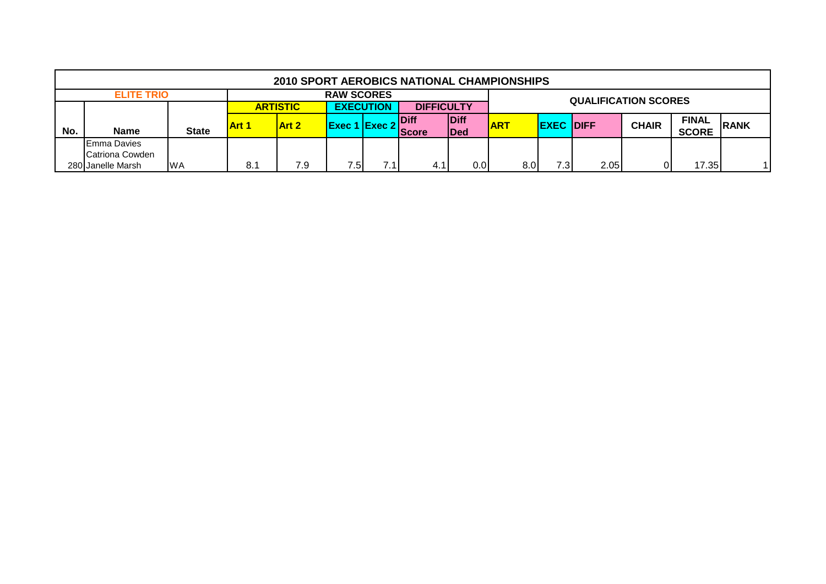|     |                    |              |              | 2010 SPORT AEROBICS NATIONAL CHAMPIONSHIPS |                      |      |                   |             |            |                  |                             |              |              |             |
|-----|--------------------|--------------|--------------|--------------------------------------------|----------------------|------|-------------------|-------------|------------|------------------|-----------------------------|--------------|--------------|-------------|
|     | <b>ELITE TRIO</b>  |              |              |                                            | <b>RAW SCORES</b>    |      |                   |             |            |                  | <b>QUALIFICATION SCORES</b> |              |              |             |
|     |                    |              |              | <b>ARTISTIC</b>                            | <b>EXECUTION</b>     |      | <b>DIFFICULTY</b> |             |            |                  |                             |              |              |             |
|     |                    |              | <b>Art 1</b> | <b>Art 2</b>                               | <b>Exec 1 Exec 2</b> |      | <b>Diff</b>       | Diff        | <b>ART</b> | <b>EXEC DIFF</b> |                             | <b>CHAIR</b> | <b>FINAL</b> | <b>RANK</b> |
| No. | <b>Name</b>        | <b>State</b> |              |                                            |                      |      | <b>Score</b>      | <b>IDed</b> |            |                  |                             |              | <b>SCORE</b> |             |
|     | <b>Emma Davies</b> |              |              |                                            |                      |      |                   |             |            |                  |                             |              |              |             |
|     | Catriona Cowden    |              |              |                                            |                      |      |                   |             |            |                  |                             |              |              |             |
|     | 280 Janelle Marsh  | <b>WA</b>    | 8.1          | 7.9                                        | 7.5                  | 7.11 | 4.1               | 0.0         | 8.0        | 7.31             | 2.05                        |              | 17.35        |             |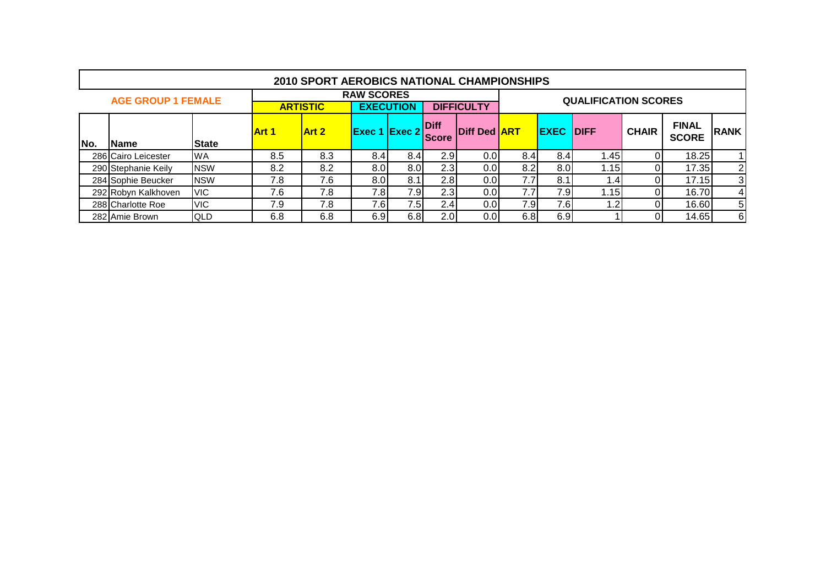|     |                           |              |              | 2010 SPORT AEROBICS NATIONAL CHAMPIONSHIPS |                      |                  |                      |                     |     |             |                             |              |                              |      |
|-----|---------------------------|--------------|--------------|--------------------------------------------|----------------------|------------------|----------------------|---------------------|-----|-------------|-----------------------------|--------------|------------------------------|------|
|     | <b>AGE GROUP 1 FEMALE</b> |              |              |                                            | <b>RAW SCORES</b>    |                  |                      |                     |     |             | <b>QUALIFICATION SCORES</b> |              |                              |      |
|     |                           |              |              | <b>ARTISTIC</b>                            |                      | <b>EXECUTION</b> |                      | <b>DIFFICULTY</b>   |     |             |                             |              |                              |      |
| No. | Name                      | <b>State</b> | <b>Art 1</b> | <b>Art 2</b>                               | <b>Exec 1 Exec 2</b> |                  | Diff<br><b>Score</b> | <b>Diff Ded ART</b> |     | <b>EXEC</b> | <b>IDIFF</b>                | <b>CHAIR</b> | <b>FINAL</b><br><b>SCORE</b> | RANK |
|     | 286 Cairo Leicester       | <b>WA</b>    | 8.5          | 8.3                                        | 8.4                  | 8.4              | 2.9                  | 0.0                 | 8.4 | 8.4         | 1.45                        |              | 18.25                        |      |
|     | 290 Stephanie Keily       | <b>NSW</b>   | 8.2          | 8.2                                        | 8.0                  | 8.0              | 2.3                  | 0.0                 | 8.2 | 8.0         | 1.15I                       |              | 17.35                        | 2    |
|     | 284 Sophie Beucker        | <b>NSW</b>   | 7.8          | 7.6                                        | 8.0                  | 8.1              | 2.8                  | 0.0                 | 7.7 | 8.1         | ا 4.                        |              | 17.15                        | 3    |
|     | 292 Robyn Kalkhoven       | <b>VIC</b>   | 7.6          | 7.8                                        | 7.8                  | 7.9              | 2.3 <sub>l</sub>     | 0.0                 | 7.7 | 7.9         | 1.15                        |              | 16.70                        | 4    |
|     | 288 Charlotte Roe         | <b>VIC</b>   | 7.9          | 7.8                                        | 7.6                  | 7.5              | 2.4                  | 0.0                 | 7.9 | 7.6         | $\cdot$ .2                  |              | 16.60                        | 5    |
|     | 282 Amie Brown            | <b>QLD</b>   | 6.8          | 6.8                                        | 6.9                  | 6.8              | 2.0                  | 0.0                 | 6.8 | 6.9         |                             |              | 14.65                        | 6    |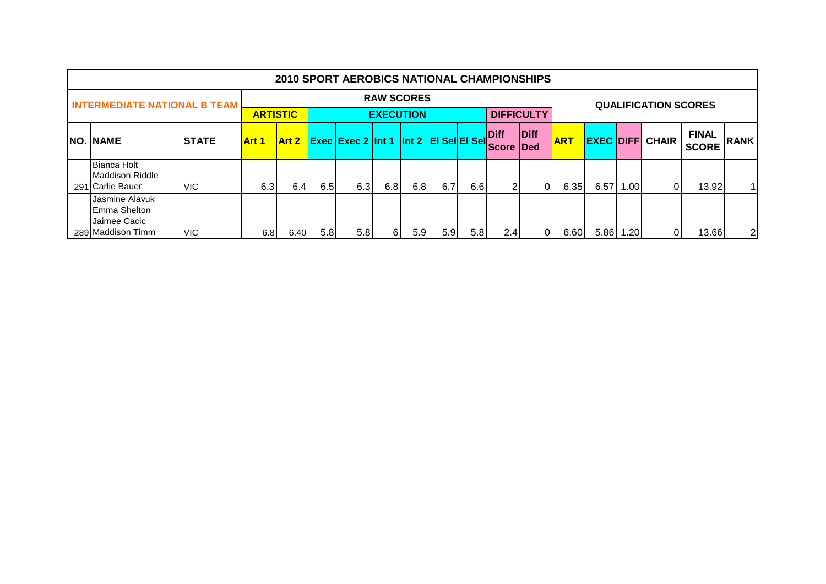|                                                                     |               |              |                 |     | <b>2010 SPORT AEROBICS NATIONAL CHAMPIONSHIPS</b> |                   |     |                  |     |                            |                   |            |                  |      |                             |                              |                |
|---------------------------------------------------------------------|---------------|--------------|-----------------|-----|---------------------------------------------------|-------------------|-----|------------------|-----|----------------------------|-------------------|------------|------------------|------|-----------------------------|------------------------------|----------------|
| <b>INTERMEDIATE NATIONAL B TEAM</b>                                 |               |              |                 |     |                                                   | <b>RAW SCORES</b> |     |                  |     |                            |                   |            |                  |      | <b>QUALIFICATION SCORES</b> |                              |                |
|                                                                     |               |              | <b>ARTISTIC</b> |     |                                                   | <b>EXECUTION</b>  |     |                  |     |                            | <b>DIFFICULTY</b> |            |                  |      |                             |                              |                |
| <b>NO. NAME</b>                                                     | <b>ISTATE</b> | <b>Art 1</b> | <b>Art 2</b>    |     | <b>Exec Exec 2 Int 1 Int 2 EI Sel EI Sel</b>      |                   |     |                  |     | Diff<br><b>IScore IDed</b> | Diff              | <b>ART</b> | <b>EXEC DIFF</b> |      | <b>CHAIR</b>                | <b>FINAL</b><br><b>SCORE</b> | <b>RANK</b>    |
| <b>Bianca Holt</b><br><b>IMaddison Riddle</b><br>291 Carlie Bauer   | <b>VIC</b>    | 6.3          | 6.4             | 6.5 | 6.3                                               | 6.8               | 6.8 | 6.7              | 6.6 | 2                          | Οl                | 6.35       | 6.57             | .001 |                             | 13.92                        |                |
| Jasmine Alavuk<br>Emma Shelton<br>Jaimee Cacic<br>289 Maddison Timm | <b>VIC</b>    | 6.8          | 6.40            | 5.8 | 5.8                                               | 61                | 5.9 | 5.9 <sub>l</sub> | 5.8 | 2.4                        | ΩI                | 6.60       | 5.86             | .201 |                             | 13.66                        | $\overline{2}$ |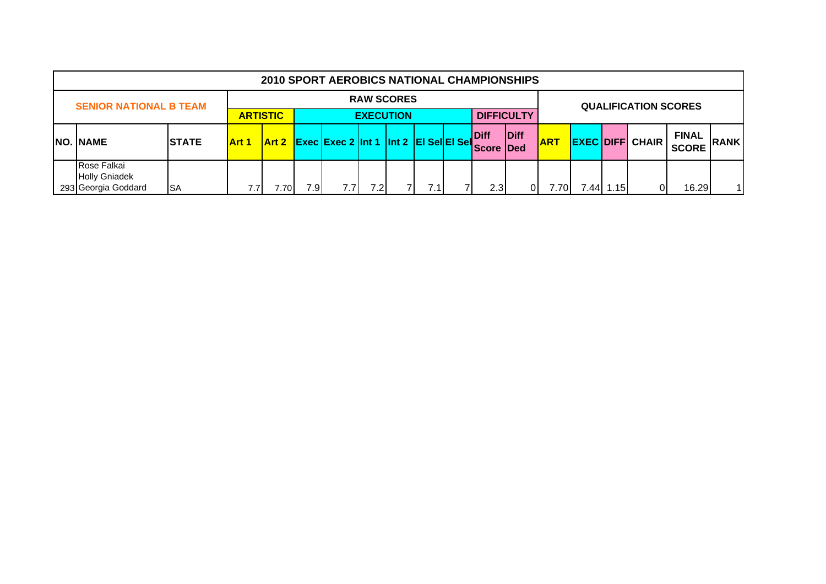|                                                            |              |                 |       |     | <b>2010 SPORT AEROBICS NATIONAL CHAMPIONSHIPS</b> |                   |     |                                 |                   |            |       |      |                             |                              |              |
|------------------------------------------------------------|--------------|-----------------|-------|-----|---------------------------------------------------|-------------------|-----|---------------------------------|-------------------|------------|-------|------|-----------------------------|------------------------------|--------------|
| <b>SENIOR NATIONAL B TEAM</b>                              |              |                 |       |     |                                                   | <b>RAW SCORES</b> |     |                                 |                   |            |       |      | <b>QUALIFICATION SCORES</b> |                              |              |
|                                                            |              | <b>ARTISTIC</b> |       |     |                                                   | <b>EXECUTION</b>  |     |                                 | <b>DIFFICULTY</b> |            |       |      |                             |                              |              |
| <b>NO. NAME</b>                                            | <b>STATE</b> | <b>Art 1</b>    | Art 2 |     | Exec Exec 2 Int 1 Int 2 EI Sel EI Sel             |                   |     | <b>Diff</b><br><b>Score Ded</b> | <b>Diff</b>       | <b>ART</b> |       |      | <b>EXEC DIFFI CHAIR</b>     | <b>FINAL</b><br><b>SCORE</b> | <b>RANK</b>  |
| Rose Falkai<br><b>Holly Gniadek</b><br>293 Georgia Goddard | <b>SA</b>    |                 | 701.' | 7.9 | 7.7 <sub>1</sub>                                  | 7.2I              | 7.1 | 2.3                             | 01                | 7.701      | ا44.' | 1.15 | Οl                          | 16.29                        | $\mathbf{1}$ |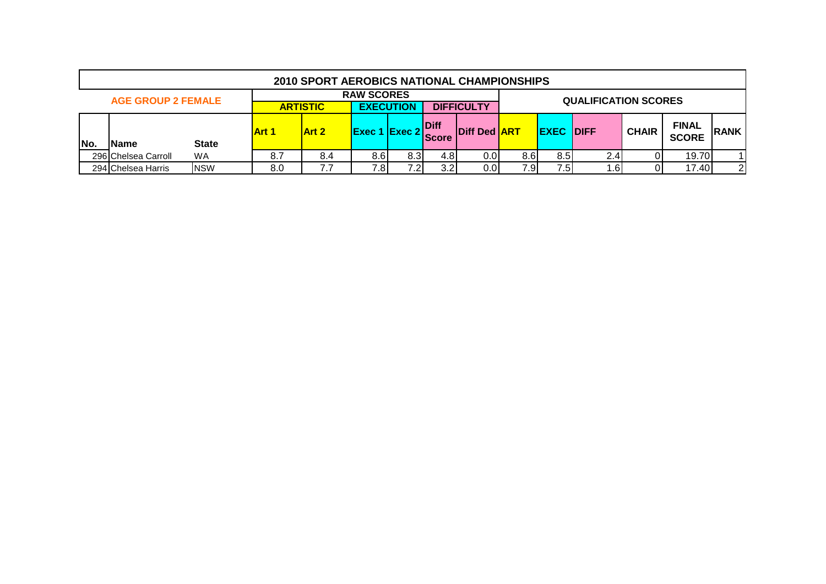|     | <b>2010 SPORT AEROBICS NATIONAL CHAMPIONSHIPS</b> |              |     |                                                          |                   |     |                              |                      |      |             |                             |              |                              |                |
|-----|---------------------------------------------------|--------------|-----|----------------------------------------------------------|-------------------|-----|------------------------------|----------------------|------|-------------|-----------------------------|--------------|------------------------------|----------------|
|     | <b>AGE GROUP 2 FEMALE</b>                         |              |     |                                                          | <b>RAW SCORES</b> |     |                              |                      |      |             | <b>QUALIFICATION SCORES</b> |              |                              |                |
|     |                                                   |              |     | <b>EXECUTION</b><br><b>DIFFICULTY</b><br><b>ARTISTIC</b> |                   |     |                              |                      |      |             |                             |              |                              |                |
|     |                                                   |              |     | <b>Art 2</b>                                             | Exec 1 Exec 2     |     | <b>IDiff</b><br><b>Score</b> | <b>IDiff Ded ART</b> |      | <b>EXEC</b> | <b>IDIFF</b>                | <b>CHAIR</b> | <b>FINAL</b><br><b>SCORE</b> | <b>IRANK</b>   |
| No. | <b>Name</b>                                       | <b>State</b> |     |                                                          |                   |     |                              |                      |      |             |                             |              |                              |                |
|     | 296 Chelsea Carroll                               | WA.          | 8.7 | 8.4                                                      | 8.6               | 8.3 | 4.8                          | 0.01                 | 8.6I | 8.5         | 2.4 <sub>1</sub>            |              | 19.70                        |                |
|     | 294 Chelsea Harris                                | <b>NSW</b>   | 8.0 | 7.7                                                      | 7.8               | フ つ | 3.2                          | 0.0                  | 7.9  | 7.5         |                             | ا6.،         | 17.40                        | $\overline{2}$ |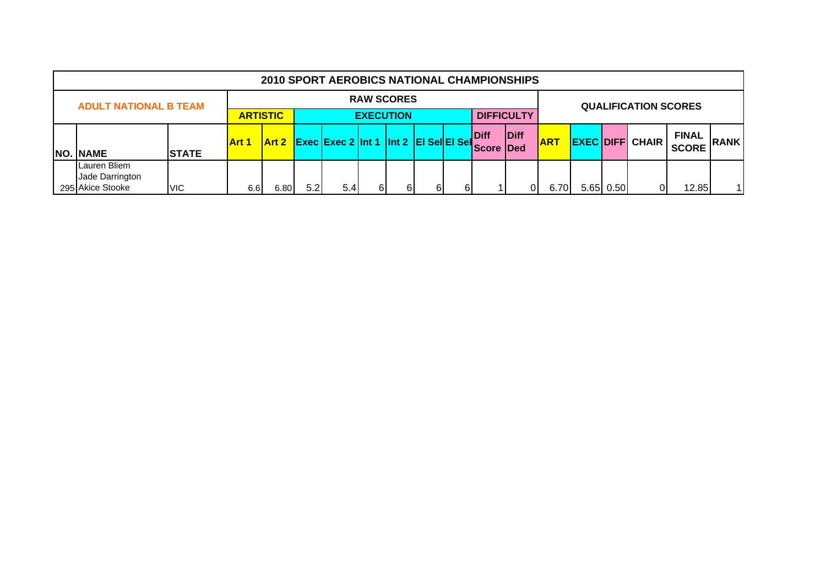|                 | <b>2010 SPORT AEROBICS NATIONAL CHAMPIONSHIPS</b> |              |                 |                                                  |     |                                       |    |    |    |  |                                  |      |            |  |           |                        |                              |                |
|-----------------|---------------------------------------------------|--------------|-----------------|--------------------------------------------------|-----|---------------------------------------|----|----|----|--|----------------------------------|------|------------|--|-----------|------------------------|------------------------------|----------------|
|                 | <b>ADULT NATIONAL B TEAM</b>                      |              |                 | <b>RAW SCORES</b><br><b>QUALIFICATION SCORES</b> |     |                                       |    |    |    |  |                                  |      |            |  |           |                        |                              |                |
|                 |                                                   |              | <b>ARTISTIC</b> | <b>DIFFICULTY</b><br><b>EXECUTION</b>            |     |                                       |    |    |    |  |                                  |      |            |  |           |                        |                              |                |
| <b>NO. NAME</b> |                                                   |              | <b>Art 1</b>    | Art 2                                            |     | Exec Exec 2 Int 1 Int 2 EI Sel EI Sel |    |    |    |  | <b>Diff</b><br><b>Score IDed</b> | Diff | <b>ART</b> |  |           | <b>EXEC DIFF CHAIR</b> | <b>FINAL</b><br><b>SCORE</b> | <b>RANK</b>    |
|                 | Lauren Bliem                                      | <b>STATE</b> |                 |                                                  |     |                                       |    |    |    |  |                                  |      |            |  |           |                        |                              |                |
|                 | Jade Darrington<br>295 Akice Stooke               | <b>VIC</b>   | 6.6             | 6.80                                             | 5.2 | 5.4                                   | 61 | 61 | 61 |  |                                  | 0    | 6.70       |  | 5.65 0.50 | Οl                     | 12.85                        | $\overline{1}$ |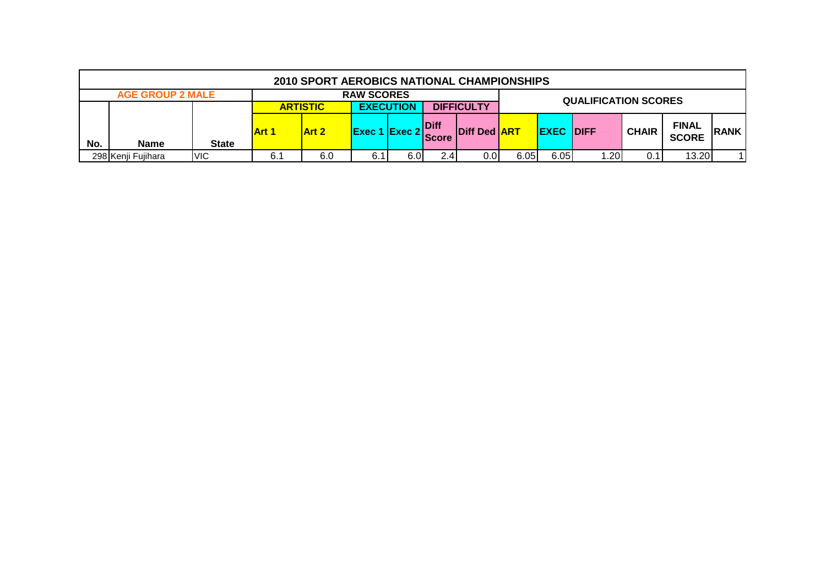|     | 2010 SPORT AEROBICS NATIONAL CHAMPIONSHIPS               |              |              |       |                      |      |                             |                     |      |                  |                 |              |                              |              |
|-----|----------------------------------------------------------|--------------|--------------|-------|----------------------|------|-----------------------------|---------------------|------|------------------|-----------------|--------------|------------------------------|--------------|
|     | <b>RAW SCORES</b><br><b>AGE GROUP 2 MALE</b>             |              |              |       |                      |      |                             |                     |      |                  |                 |              |                              |              |
|     | <b>EXECUTION</b><br><b>DIFFICULTY</b><br><b>ARTISTIC</b> |              |              |       |                      |      | <b>QUALIFICATION SCORES</b> |                     |      |                  |                 |              |                              |              |
| No. | <b>Name</b>                                              | <b>State</b> | <b>Art 1</b> | Art 2 | <b>Exec 1 Exec 2</b> |      | <b>Diff</b><br><b>Score</b> | Diff Ded <b>ART</b> |      | <b>EXEC DIFF</b> |                 | <b>CHAIR</b> | <b>FINAL</b><br><b>SCORE</b> | <b>IRANK</b> |
|     | 298 Kenji Fujihara                                       | <b>VIC</b>   | 6.1          | 6.0   | 6.1                  | 6.0I | 2.4.                        | 0.0I                | 6.05 | 6.05             | $\overline{20}$ | 0.1          | 13.20                        |              |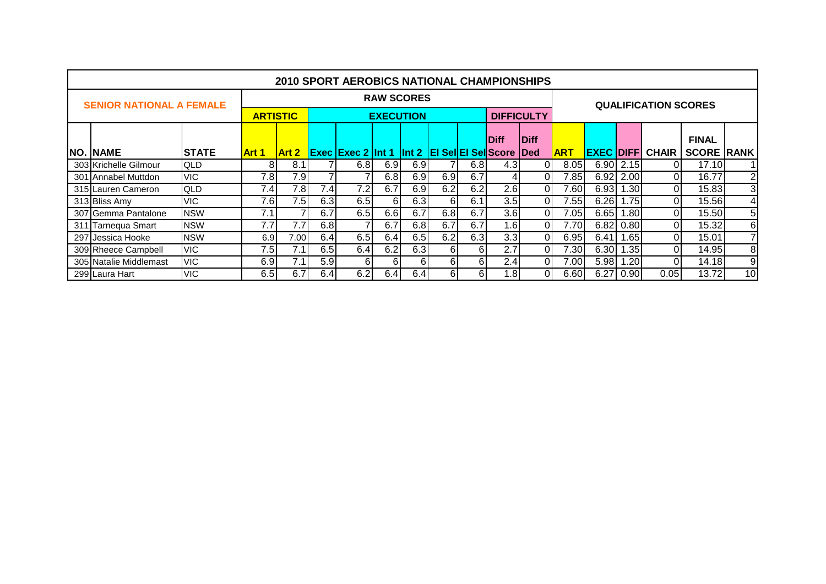| <b>2010 SPORT AEROBICS NATIONAL CHAMPIONSHIPS</b> |              |                   |                  |                  |                                                         |          |          |     |             |                  |                   |                             |      |           |                        |                   |                |
|---------------------------------------------------|--------------|-------------------|------------------|------------------|---------------------------------------------------------|----------|----------|-----|-------------|------------------|-------------------|-----------------------------|------|-----------|------------------------|-------------------|----------------|
| <b>SENIOR NATIONAL A FEMALE</b>                   |              | <b>RAW SCORES</b> |                  |                  |                                                         |          |          |     |             |                  |                   | <b>QUALIFICATION SCORES</b> |      |           |                        |                   |                |
|                                                   |              |                   | <b>ARTISTIC</b>  | <b>EXECUTION</b> |                                                         |          |          |     |             |                  | <b>DIFFICULTY</b> |                             |      |           |                        |                   |                |
|                                                   |              |                   |                  |                  |                                                         |          |          |     | <b>Diff</b> | <b>IDiff</b>     |                   |                             |      |           | <b>FINAL</b>           |                   |                |
| <b>NO. NAME</b>                                   | <b>STATE</b> | Art 1             | Art 2            |                  | <b>Exec Exec 2 Int 1 Int 2 EI Sel EI Sell</b> Score Ded |          |          |     |             |                  |                   | <b>ART</b>                  |      |           | <b>EXEC DIFF CHAIR</b> | <b>SCORE RANK</b> |                |
| 303 Krichelle Gilmour                             | QLD          | 81                | 8.1              |                  | 6.8                                                     | 6.9      | 6.9      |     | 6.8         | 4.3 <sub>1</sub> |                   | 8.05                        |      | 6.90 2.15 |                        | 17.10             |                |
| 301 Annabel Muttdon                               | <b>VIC</b>   | 7.8               | 7.9              |                  |                                                         | 6.8      | 6.9      | 6.9 | 6.7         | 41               | 01                | 7.85                        |      | 6.92 2.00 | 01                     | 16.77             | 2 <sub>1</sub> |
| 315 Lauren Cameron                                | <b>QLD</b>   | 7.4               | 7.8              | 7.4              | 7.2                                                     | 6.7      | 6.9      | 6.2 | 6.2         | 2.6              | 0I                | 7.60                        | 6.93 | 1.30      | ΟI                     | 15.83             | 3 <sup>1</sup> |
| 313 Bliss Amy                                     | <b>VIC</b>   | 7.6               | 7.5 <sub>1</sub> | 6.3              | 6.5                                                     | 6        | 6.3      | 6   | 6.1         | 3.5              | 0I                | 7.55                        | 6.26 | .75       | 01                     | 15.56             | $\vert$        |
| 307 Gemma Pantalone                               | <b>NSW</b>   | 7.1               | ⇁                | 6.7              | 6.5                                                     | 6.6      | 6.7      | 6.8 | 6.7         | 3.6              | ΟI                | 7.05                        | 6.65 | 1.80      | 01                     | 15.50             | 5 <sub>1</sub> |
| 311 Tarnequa Smart                                | <b>NSW</b>   | 7.7               | 7.7              | 6.8              | $\overline{7}$                                          | 6.7      | 6.8      | 6.7 | 6.7         | 1.6              | Οl                | 7.70                        | 6.82 | 0.80      | 01                     | 15.32             | 6 <sup>1</sup> |
| 297 Jessica Hooke                                 | <b>NSW</b>   | 6.9               | 7.00             | 6.4              | 6.5                                                     | 6.4      | 6.5      | 6.2 | 6.3         | 3.3              | 0I                | 6.95                        | 6.41 | .65       | ΟI                     | 15.01             | 7 <sup>1</sup> |
| 309 Rheece Campbell                               | <b>VIC</b>   | 7.5               | 7.1 <sub>1</sub> | 6.5              | 6.4                                                     | 6.2      | 6.3      | 6   | 61          | 2.7              | ΩI                | 7.301                       | 6.30 | 1.35      | ΩI                     | 14.95             | 8              |
| 305 Natalie Middlemast                            | <b>VIC</b>   | 6.9               | 7.11             | 5.9              | $6 \mid$                                                | $6 \mid$ | $6 \mid$ | 6   | 61          | 2.4              | 0I                | 7.00                        | 5.98 | 1.20      | 01                     | 14.18             | 9              |
| 299 Laura Hart                                    | <b>VIC</b>   | 6.5               | 6.7              | 6.4              | 6.2                                                     | 6.4      | 6.4      | 61  | 61          | .8               | ΩI                | 6.60                        | 6.27 | 0.90      | 0.05                   | 13.72             | 10             |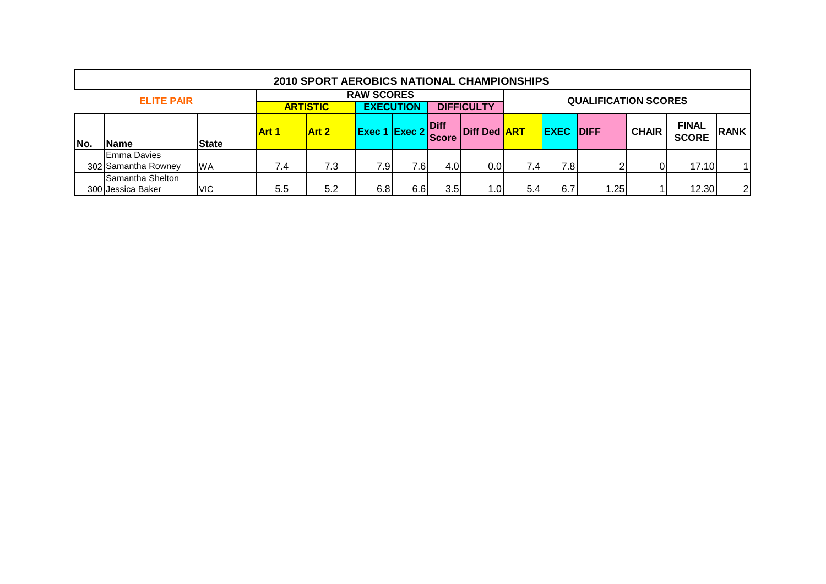|     | <b>2010 SPORT AEROBICS NATIONAL CHAMPIONSHIPS</b> |              |                                                                               |              |        |          |                       |                     |                                  |      |                             |  |                              |             |
|-----|---------------------------------------------------|--------------|-------------------------------------------------------------------------------|--------------|--------|----------|-----------------------|---------------------|----------------------------------|------|-----------------------------|--|------------------------------|-------------|
|     | <b>ELITE PAIR</b>                                 |              | <b>RAW SCORES</b><br><b>EXECUTION</b><br><b>DIFFICULTY</b><br><b>ARTISTIC</b> |              |        |          |                       |                     |                                  |      | <b>QUALIFICATION SCORES</b> |  |                              |             |
| No. | Name                                              | <b>State</b> | <b>Art 1</b>                                                                  | <b>Art 2</b> | Exec 1 | 1 Exec 2 | Diff<br><b>IScore</b> | <b>Diff Ded ART</b> | <b>EXEC DIFF</b><br><b>CHAIR</b> |      |                             |  | <b>FINAL</b><br><b>SCORE</b> | <b>RANK</b> |
|     | <b>Emma Davies</b><br>302 Samantha Rowney         | <b>WA</b>    | 7.4                                                                           | 7.3          | 7.91   | 7.6      | 4.0                   | 0.0 <sub>l</sub>    | 7.4                              | 7.81 | ◠                           |  | 17.10                        |             |
|     | Samantha Shelton<br>300 Jessica Baker             | <b>VIC</b>   | 5.5                                                                           | 5.2          | 6.8    | 6.6      | 3.5 <sub>l</sub>      | 1.OI                | 5.4                              | 6.7  | .25                         |  | 12.30                        | 2           |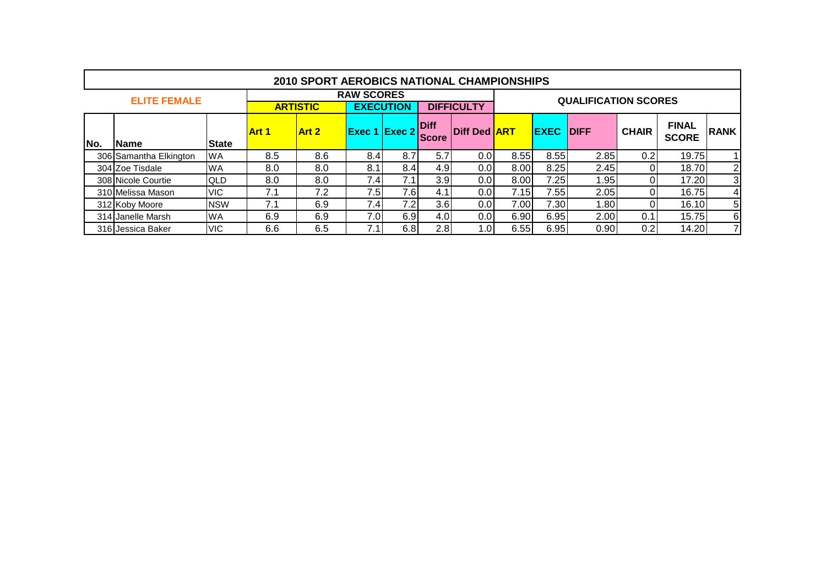|     | <b>2010 SPORT AEROBICS NATIONAL CHAMPIONSHIPS</b> |              |                                                                               |       |     |                      |                  |                     |      |             |                             |              |              |                |
|-----|---------------------------------------------------|--------------|-------------------------------------------------------------------------------|-------|-----|----------------------|------------------|---------------------|------|-------------|-----------------------------|--------------|--------------|----------------|
|     | <b>ELITE FEMALE</b>                               |              | <b>RAW SCORES</b><br><b>EXECUTION</b><br><b>ARTISTIC</b><br><b>DIFFICULTY</b> |       |     |                      |                  |                     |      |             | <b>QUALIFICATION SCORES</b> |              |              |                |
|     |                                                   |              |                                                                               |       |     |                      |                  |                     |      |             |                             |              |              |                |
|     |                                                   |              | <b>Art 1</b>                                                                  | Art 2 |     | <b>Exec 1 Exec 2</b> | <b>IDiff</b>     | Diff Ded <b>ART</b> |      | <b>EXEC</b> | <b>IDIFF</b>                | <b>CHAIR</b> | <b>FINAL</b> | <b>RANK</b>    |
| No. | Name                                              | <b>State</b> |                                                                               |       |     |                      | <b>Score</b>     |                     |      |             |                             |              | <b>SCORE</b> |                |
|     | 306 Samantha Elkington                            | <b>WA</b>    | 8.5                                                                           | 8.6   | 8.4 | 8.7                  | 5.7              | 0.01                | 8.55 | 8.55        | 2.85                        | 0.2          | 19.75        |                |
|     | 304 Zoe Tisdale                                   | <b>WA</b>    | 8.0                                                                           | 8.0   | 8.1 | 8.4                  | 4.9              | 0.01                | 8.00 | 8.25        | 2.45                        |              | 18.70        | $2\vert$       |
|     | 308 Nicole Courtie                                | <b>QLD</b>   | 8.0                                                                           | 8.0   | 7.4 | 7.1                  | 3.9              | 0.01                | 8.00 | 7.25        | 1.95                        |              | 17.20        | $\overline{3}$ |
|     | 310 Melissa Mason                                 | <b>VIC</b>   | 7.1                                                                           | 7.2   | 7.5 | 7.6                  | 4.1              | 0.0                 | 7.15 | 7.55        | 2.05                        |              | 16.75        | 4              |
|     | 312 Koby Moore                                    | <b>NSW</b>   | 7.1                                                                           | 6.9   | 7.4 | 7.2I                 | 3.6              | 0.01                | 7.00 | 7.30        | 1.80                        |              | 16.10        | 5              |
|     | 314 Janelle Marsh                                 | <b>WA</b>    | 6.9                                                                           | 6.9   | 7.0 | 6.9                  | 4.0              | 0.01                | 6.90 | 6.95        | 2.00                        | 0.1          | 15.75        | 6              |
|     | 316 Jessica Baker                                 | <b>VIC</b>   | 6.6                                                                           | 6.5   |     | 6.8                  | 2.8 <sub>l</sub> | .01                 | 6.55 | 6.95        | 0.90                        | 0.2          | 14.20        | 71             |